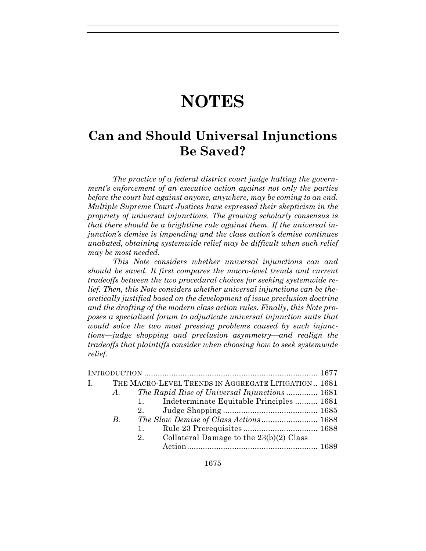# **NOTES**

# **Can and Should Universal Injunctions Be Saved?**

*The practice of a federal district court judge halting the government's enforcement of an executive action against not only the parties before the court but against anyone, anywhere, may be coming to an end. Multiple Supreme Court Justices have expressed their skepticism in the propriety of universal injunctions. The growing scholarly consensus is that there should be a brightline rule against them. If the universal injunction's demise is impending and the class action's demise continues unabated, obtaining systemwide relief may be difficult when such relief may be most needed.* 

*This Note considers whether universal injunctions can and should be saved. It first compares the macro-level trends and current tradeoffs between the two procedural choices for seeking systemwide relief. Then, this Note considers whether universal injunctions can be theoretically justified based on the development of issue preclusion doctrine and the drafting of the modern class action rules. Finally, this Note proposes a specialized forum to adjudicate universal injunction suits that would solve the two most pressing problems caused by such injunctions—judge shopping and preclusion asymmetry—and realign the tradeoffs that plaintiffs consider when choosing how to seek systemwide relief.* 

|    |    | I. THE MACRO-LEVEL TRENDS IN AGGREGATE LITIGATION 1681 |  |
|----|----|--------------------------------------------------------|--|
| A. |    | The Rapid Rise of Universal Injunctions  1681          |  |
|    |    | 1. Indeterminate Equitable Principles  1681            |  |
|    |    |                                                        |  |
| B. |    | The Slow Demise of Class Actions 1688                  |  |
|    | 1. |                                                        |  |
|    | 2. | Collateral Damage to the $23(b)(2)$ Class              |  |
|    |    |                                                        |  |
|    |    |                                                        |  |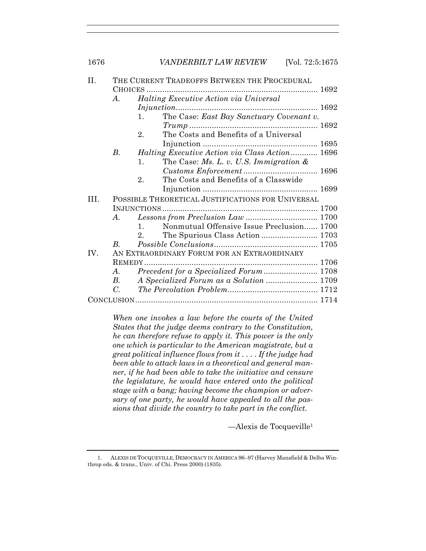| H.  | THE CURRENT TRADEOFFS BETWEEN THE PROCEDURAL      |                                                             |  |  |  |
|-----|---------------------------------------------------|-------------------------------------------------------------|--|--|--|
|     |                                                   |                                                             |  |  |  |
|     | $\bm{A}$ .                                        | <i>Halting Executive Action via Universal</i>               |  |  |  |
|     |                                                   |                                                             |  |  |  |
|     |                                                   | The Case: East Bay Sanctuary Covenant v.<br>1.              |  |  |  |
|     |                                                   |                                                             |  |  |  |
|     |                                                   | The Costs and Benefits of a Universal<br>$2_{-}$            |  |  |  |
|     |                                                   |                                                             |  |  |  |
|     | <i>B</i> .                                        | Halting Executive Action via Class Action 1696              |  |  |  |
|     |                                                   | The Case: Ms. L. v. U.S. Immigration $\&$<br>$\mathbf{1}$ . |  |  |  |
|     |                                                   |                                                             |  |  |  |
|     |                                                   | The Costs and Benefits of a Classwide<br>2.                 |  |  |  |
|     |                                                   |                                                             |  |  |  |
| TH. | POSSIBLE THEORETICAL JUSTIFICATIONS FOR UNIVERSAL |                                                             |  |  |  |
|     |                                                   |                                                             |  |  |  |
|     | A.                                                |                                                             |  |  |  |
|     |                                                   | Nonmutual Offensive Issue Preclusion 1700<br>$\mathbf{1}$   |  |  |  |
|     |                                                   | 2 <sub>1</sub>                                              |  |  |  |
|     | $B_{\cdot}$                                       |                                                             |  |  |  |
| IV. | AN EXTRAORDINARY FORUM FOR AN EXTRAORDINARY       |                                                             |  |  |  |
|     |                                                   |                                                             |  |  |  |
|     | $\bm{A}$ .                                        |                                                             |  |  |  |
|     | B.                                                |                                                             |  |  |  |
|     | $C_{\cdot}$                                       |                                                             |  |  |  |
|     |                                                   |                                                             |  |  |  |
|     |                                                   |                                                             |  |  |  |

*When one invokes a law before the courts of the United States that the judge deems contrary to the Constitution, he can therefore refuse to apply it. This power is the only one which is particular to the American magistrate, but a great political influence flows from it . . . . If the judge had been able to attack laws in a theoretical and general manner, if he had been able to take the initiative and censure the legislature, he would have entered onto the political stage with a bang; having become the champion or adversary of one party, he would have appealed to all the passions that divide the country to take part in the conflict.* 

—Alexis de Tocqueville1

 <sup>1.</sup> ALEXIS DE TOCQUEVILLE, DEMOCRACY IN AMERICA 96–97 (Harvey Mansfield & Delba Winthrop eds. & trans., Univ. of Chi. Press 2000) (1835).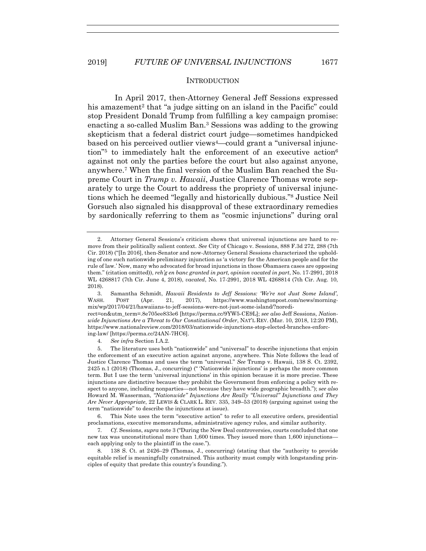#### **INTRODUCTION**

 In April 2017, then-Attorney General Jeff Sessions expressed his amazement<sup>2</sup> that "a judge sitting on an island in the Pacific" could stop President Donald Trump from fulfilling a key campaign promise: enacting a so-called Muslim Ban.3 Sessions was adding to the growing skepticism that a federal district court judge—sometimes handpicked based on his perceived outlier views4—could grant a "universal injunction"5 to immediately halt the enforcement of an executive action6 against not only the parties before the court but also against anyone, anywhere.7 When the final version of the Muslim Ban reached the Supreme Court in *Trump v. Hawaii*, Justice Clarence Thomas wrote separately to urge the Court to address the propriety of universal injunctions which he deemed "legally and historically dubious."8 Justice Neil Gorsuch also signaled his disapproval of these extraordinary remedies by sardonically referring to them as "cosmic injunctions" during oral

 3. Samantha Schmidt, *Hawaii Residents to Jeff Sessions: 'We're not Just Some Island'*, WASH. POST (Apr. 21, 2017), https://www.washingtonpost.com/news/morningmix/wp/2017/04/21/hawaiians-to-jeff-sessions-were-not-just-some-island/?noredi-

rect=on&utm\_term=.8e705ee833e6 [https://perma.cc/9YW5-CE9L]; *see also* Jeff Sessions, *Nationwide Injunctions Are a Threat to Our Constitutional Order*, NAT'L REV. (Mar. 10, 2018, 12:20 PM), https://www.nationalreview.com/2018/03/nationwide-injunctions-stop-elected-branches-enforcing-law/ [https://perma.cc/24AN-7HC6].

4*. See infra* Section I.A.2.

 6. This Note uses the term "executive action" to refer to all executive orders, presidential proclamations, executive memorandums, administrative agency rules, and similar authority.

7*. Cf.* Sessions, *supra* note 3 ("During the New Deal controversies, courts concluded that one new tax was unconstitutional more than 1,600 times. They issued more than 1,600 injunctions each applying only to the plaintiff in the case.").

8*.* 138 S. Ct. at 2426–29 (Thomas, J., concurring) (stating that the "authority to provide equitable relief is meaningfully constrained. This authority must comply with longstanding principles of equity that predate this country's founding.").

 <sup>2.</sup> Attorney General Sessions's criticism shows that universal injunctions are hard to remove from their politically salient context. *See* City of Chicago v. Sessions, 888 F.3d 272, 288 (7th Cir. 2018) ("[In 2016], then-Senator and now-Attorney General Sessions characterized the upholding of one such nationwide preliminary injunction as 'a victory for the American people and for the rule of law.' Now, many who advocated for broad injunctions in those Obamaera cases are opposing them." (citation omitted)), *reh'g en banc granted in part, opinion vacated in part*, No. 17-2991, 2018 WL 4268817 (7th Cir. June 4, 2018), *vacated*, No. 17-2991, 2018 WL 4268814 (7th Cir. Aug. 10, 2018).

 <sup>5.</sup> The literature uses both "nationwide" and "universal" to describe injunctions that enjoin the enforcement of an executive action against anyone, anywhere. This Note follows the lead of Justice Clarence Thomas and uses the term "universal." *See* Trump v. Hawaii, 138 S. Ct. 2392, 2425 n.1 (2018) (Thomas, J., concurring) (" 'Nationwide injunctions' is perhaps the more common term. But I use the term 'universal injunctions' in this opinion because it is more precise. These injunctions are distinctive because they prohibit the Government from enforcing a policy with respect to anyone, including nonparties—not because they have wide geographic breadth."); s*ee also*  Howard M. Wasserman, *"Nationwide" Injunctions Are Really "Universal" Injunctions and They Are Never Appropriate*, 22 LEWIS & CLARK L. REV. 335, 349–53 (2018) (arguing against using the term "nationwide" to describe the injunctions at issue).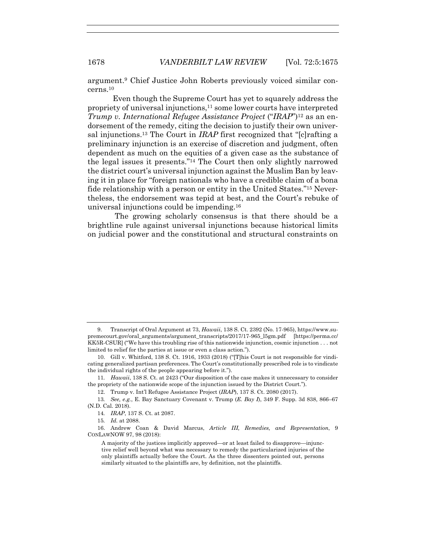argument.9 Chief Justice John Roberts previously voiced similar concerns.10

Even though the Supreme Court has yet to squarely address the propriety of universal injunctions,11 some lower courts have interpreted *Trump v. International Refugee Assistance Project* ("*IRAP*")<sup>12</sup> as an endorsement of the remedy, citing the decision to justify their own universal injunctions.13 The Court in *IRAP* first recognized that "[c]rafting a preliminary injunction is an exercise of discretion and judgment, often dependent as much on the equities of a given case as the substance of the legal issues it presents."14 The Court then only slightly narrowed the district court's universal injunction against the Muslim Ban by leaving it in place for "foreign nationals who have a credible claim of a bona fide relationship with a person or entity in the United States."15 Nevertheless, the endorsement was tepid at best, and the Court's rebuke of universal injunctions could be impending.16

 The growing scholarly consensus is that there should be a brightline rule against universal injunctions because historical limits on judicial power and the constitutional and structural constraints on

12. Trump v. Int'l Refugee Assistance Project (*IRAP*), 137 S. Ct. 2080 (2017).

15*. Id.* at 2088.

 <sup>9.</sup> Transcript of Oral Argument at 73, *Hawaii*, 138 S. Ct. 2392 (No. 17-965), https://www.supremecourt.gov/oral\_arguments/argument\_transcripts/2017/17-965\_l5gm.pdf [https://perma.cc/ KK5R-CSUR] ("We have this troubling rise of this nationwide injunction, cosmic injunction . . . not limited to relief for the parties at issue or even a class action.").

 <sup>10.</sup> Gill v. Whitford, 138 S. Ct. 1916, 1933 (2018) ("[T]his Court is not responsible for vindicating generalized partisan preferences. The Court's constitutionally prescribed role is to vindicate the individual rights of the people appearing before it.").

<sup>11</sup>*. Hawaii*, 138 S. Ct. at 2423 ("Our disposition of the case makes it unnecessary to consider the propriety of the nationwide scope of the injunction issued by the District Court.").

<sup>13</sup>*. See, e.g.*, E. Bay Sanctuary Covenant v. Trump (*E. Bay I*), 349 F. Supp. 3d 838, 866–67 (N.D. Cal. 2018).

<sup>14</sup>*. IRAP*, 137 S. Ct. at 2087.

 <sup>16.</sup> Andrew Coan & David Marcus, *Article III, Remedies, and Representation*, 9 CONLAWNOW 97, 98 (2018):

A majority of the justices implicitly approved—or at least failed to disapprove—injunctive relief well beyond what was necessary to remedy the particularized injuries of the only plaintiffs actually before the Court. As the three dissenters pointed out, persons similarly situated to the plaintiffs are, by definition, not the plaintiffs.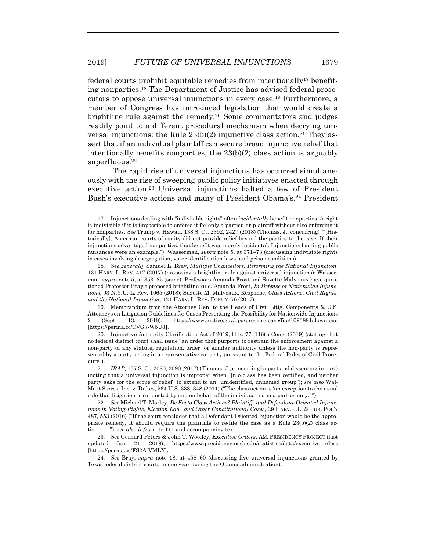federal courts prohibit equitable remedies from intentionally<sup>17</sup> benefiting nonparties.18 The Department of Justice has advised federal prosecutors to oppose universal injunctions in every case.19 Furthermore, a member of Congress has introduced legislation that would create a brightline rule against the remedy.20 Some commentators and judges readily point to a different procedural mechanism when decrying universal injunctions: the Rule  $23(b)(2)$  injunctive class action.<sup>21</sup> They assert that if an individual plaintiff can secure broad injunctive relief that intentionally benefits nonparties, the 23(b)(2) class action is arguably superfluous.<sup>22</sup>

The rapid rise of universal injunctions has occurred simultaneously with the rise of sweeping public policy initiatives enacted through executive action.23 Universal injunctions halted a few of President Bush's executive actions and many of President Obama's.<sup>24</sup> President

 19. Memorandum from the Attorney Gen. to the Heads of Civil Litig. Components & U.S. Attorneys on Litigation Guidelines for Cases Presenting the Possibility for Nationwide Injunctions 2 (Sept. 13, 2018), https://www.justice.gov/opa/press-release/file/1093881/download [https://perma.cc/CVG7-W5UJ].

 20. Injunctive Authority Clarification Act of 2019, H.R. 77, 116th Cong. (2019) (stating that no federal district court shall issue "an order that purports to restrain the enforcement against a non-party of any statute, regulation, order, or similar authority unless the non-party is represented by a party acting in a representative capacity pursuant to the Federal Rules of Civil Procedure").

 <sup>17.</sup> Injunctions dealing with "indivisible rights" often *incidentally* benefit nonparties. A right is indivisible if it is impossible to enforce it for only a particular plaintiff without also enforcing it for nonparties. *See* Trump v. Hawaii, 138 S. Ct. 2392, 2427 (2018) (Thomas, J., concurring) ("[Historically], American courts of equity did not provide relief beyond the parties to the case. If their injunctions advantaged nonparties, that benefit was merely incidental. Injunctions barring public nuisances were an example."); Wasserman, *supra* note 5, at 371–73 (discussing indivisible rights in cases involving desegregation, voter identification laws, and prison conditions).

<sup>18</sup>*. See generally* Samuel L. Bray, *Multiple Chancellors: Reforming the National Injunction*, 131 HARV. L. REV. 417 (2017) (proposing a brightline rule against universal injunctions); Wasserman, *supra* note 5, at 353–85 (same). Professors Amanda Frost and Suzette Malveaux have questioned Professor Bray's proposed brightline rule. Amanda Frost, *In Defense of Nationwide Injunctions*, 93 N.Y.U. L. Rev. 1065 (2018); Suzette M. Malveaux, Response, *Class Actions, Civil Rights, and the National Injunction*, 131 HARV. L. REV. FORUM 56 (2017).

 <sup>21.</sup> *IRAP,* 137 S. Ct. 2080, 2090 (2017) (Thomas, J., concurring in part and dissenting in part) (noting that a universal injunction is improper when "[n]o class has been certified, and neither party asks for the scope of relief" to extend to an "unidentified, unnamed group"); *see also* Wal-Mart Stores, Inc. v. Dukes, 564 U.S. 338, 348 (2011) ("The class action is 'an exception to the usual rule that litigation is conducted by and on behalf of the individual named parties only.' ").

<sup>22</sup>*. See* Michael T. Morley, *De Facto Class Actions? Plaintiff- and Defendant-Oriented Injunctions in Voting Rights, Election Law, and Other Constitutional Cases*, 39 HARV. J.L. & PUB. POL'Y 487, 553 (2016) ("If the court concludes that a Defendant-Oriented Injunction would be the appropriate remedy, it should require the plaintiffs to re-file the case as a Rule 23(b)(2) class action . . . ."); *see also infra* note 111 and accompanying text.

<sup>23</sup>*. See* Gerhard Peters & John T. Woolley, *Executive Orders*, AM. PRESIDENCY PROJECT (last updated Jan. 21, 2019), https://www.presidency.ucsb.edu/statistics/data/executive-orders [https://perma.cc/FS2A-VMLY].

<sup>24</sup>*. See* Bray, *supra* note 18, at 458–60 (discussing five universal injunctions granted by Texas federal district courts in one year during the Obama administration).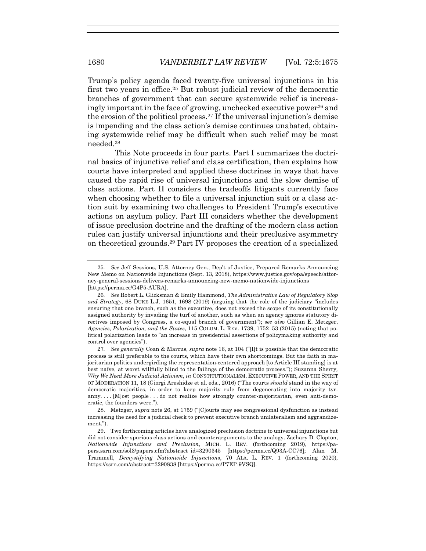Trump's policy agenda faced twenty-five universal injunctions in his first two years in office.25 But robust judicial review of the democratic branches of government that can secure systemwide relief is increasingly important in the face of growing, unchecked executive power26 and the erosion of the political process.27 If the universal injunction's demise is impending and the class action's demise continues unabated, obtaining systemwide relief may be difficult when such relief may be most needed.28

 This Note proceeds in four parts. Part I summarizes the doctrinal basics of injunctive relief and class certification, then explains how courts have interpreted and applied these doctrines in ways that have caused the rapid rise of universal injunctions and the slow demise of class actions. Part II considers the tradeoffs litigants currently face when choosing whether to file a universal injunction suit or a class action suit by examining two challenges to President Trump's executive actions on asylum policy. Part III considers whether the development of issue preclusion doctrine and the drafting of the modern class action rules can justify universal injunctions and their preclusive asymmetry on theoretical grounds.29 Part IV proposes the creation of a specialized

<sup>25</sup>*. See* Jeff Sessions, U.S. Attorney Gen., Dep't of Justice, Prepared Remarks Announcing New Memo on Nationwide Injunctions (Sept. 13, 2018), https://www.justice.gov/opa/speech/attorney-general-sessions-delivers-remarks-announcing-new-memo-nationwide-injunctions [https://perma.cc/G4P5-AURA].

<sup>26</sup>*. See* Robert L. Glicksman & Emily Hammond, *The Administrative Law of Regulatory Slop and Strategy*, 68 DUKE L.J. 1651, 1698 (2019) (arguing that the role of the judiciary "includes ensuring that one branch, such as the executive, does not exceed the scope of its constitutionally assigned authority by invading the turf of another, such as when an agency ignores statutory directives imposed by Congress, a co-equal branch of government"); *see also* Gillian E. Metzger, *Agencies, Polarization, and the States*, 115 COLUM. L. REV. 1739, 1752–53 (2015) (noting that political polarization leads to "an increase in presidential assertions of policymaking authority and control over agencies").

<sup>27</sup>*. See generally* Coan & Marcus, *supra* note 16, at 104 ("[I]t is possible that the democratic process is still preferable to the courts, which have their own shortcomings. But the faith in majoritarian politics undergirding the representation-centered approach [to Article III standing] is at best naïve, at worst willfully blind to the failings of the democratic process."); Suzanna Sherry*, Why We Need More Judicial Activism*, *in* CONSTITUTIONALISM, EXECUTIVE POWER, AND THE SPIRIT OF MODERATION 11, 18 (Giorgi Areshidze et al. eds., 2016) ("The courts *should* stand in the way of democratic majorities, in order to keep majority rule from degenerating into majority tyranny. . . . [M]ost people . . . do not realize how strongly counter-majoritarian, even anti-democratic, the founders were.").

 <sup>28.</sup> Metzger, *supra* note 26, at 1759 ("[C]ourts may see congressional dysfunction as instead increasing the need for a judicial check to prevent executive branch unilateralism and aggrandizement.").

 <sup>29.</sup> Two forthcoming articles have analogized preclusion doctrine to universal injunctions but did not consider spurious class actions and counterarguments to the analogy. Zachary D. Clopton, *Nationwide Injunctions and Preclusion*, MICH. L. REV. (forthcoming 2019), https://papers.ssrn.com/sol3/papers.cfm?abstract\_id=3290345 [https://perma.cc/Q93A-CC76]; Alan M. Trammell, *Demystifying Nationwide Injunctions*, 70 ALA. L. REV. 1 (forthcoming 2020)*,*  https://ssrn.com/abstract=3290838 [https://perma.cc/P7EP-9VSQ].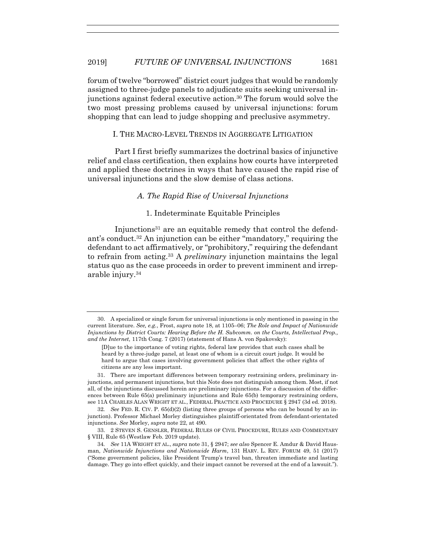forum of twelve "borrowed" district court judges that would be randomly assigned to three-judge panels to adjudicate suits seeking universal injunctions against federal executive action.30 The forum would solve the two most pressing problems caused by universal injunctions: forum shopping that can lead to judge shopping and preclusive asymmetry.

#### I. THE MACRO-LEVEL TRENDS IN AGGREGATE LITIGATION

 Part I first briefly summarizes the doctrinal basics of injunctive relief and class certification, then explains how courts have interpreted and applied these doctrines in ways that have caused the rapid rise of universal injunctions and the slow demise of class actions.

# *A. The Rapid Rise of Universal Injunctions*

#### 1. Indeterminate Equitable Principles

Injunctions<sup>31</sup> are an equitable remedy that control the defendant's conduct.32 An injunction can be either "mandatory," requiring the defendant to act affirmatively, or "prohibitory," requiring the defendant to refrain from acting.33 A *preliminary* injunction maintains the legal status quo as the case proceeds in order to prevent imminent and irreparable injury.34

 <sup>30.</sup> A specialized or single forum for universal injunctions is only mentioned in passing in the current literature. *See, e.g.*, Frost, *supra* note 18, at 1105–06; *The Role and Impact of Nationwide Injunctions by District Courts: Hearing Before the H. Subcomm. on the Courts, Intellectual Prop., and the Internet,* 117th Cong. 7 (2017) (statement of Hans A. von Spakovsky):

<sup>[</sup>D]ue to the importance of voting rights, federal law provides that such cases shall be heard by a three-judge panel, at least one of whom is a circuit court judge. It would be hard to argue that cases involving government policies that affect the other rights of citizens are any less important.

 <sup>31.</sup> There are important differences between temporary restraining orders, preliminary injunctions, and permanent injunctions, but this Note does not distinguish among them. Most, if not all, of the injunctions discussed herein are preliminary injunctions. For a discussion of the differences between Rule 65(a) preliminary injunctions and Rule 65(b) temporary restraining orders, see 11A CHARLES ALAN WRIGHT ET AL., FEDERAL PRACTICE AND PROCEDURE § 2947 (3d ed. 2018).

<sup>32</sup>*. See* FED. R. CIV. P. 65(d)(2) (listing three groups of persons who can be bound by an injunction). Professor Michael Morley distinguishes plaintiff-orientated from defendant-orientated injunctions. *See* Morley, *supra* note 22, at 490.

 <sup>33. 2</sup> STEVEN S. GENSLER, FEDERAL RULES OF CIVIL PROCEDURE, RULES AND COMMENTARY § VIII, Rule 65 (Westlaw Feb. 2019 update).

<sup>34</sup>*. See* 11A WRIGHT ET AL., *supra* note 31, § 2947; *see also* Spencer E. Amdur & David Hausman, *Nationwide Injunctions and Nationwide Harm*, 131 HARV. L. REV. FORUM 49, 51 (2017) ("Some government policies, like President Trump's travel ban, threaten immediate and lasting damage. They go into effect quickly, and their impact cannot be reversed at the end of a lawsuit.").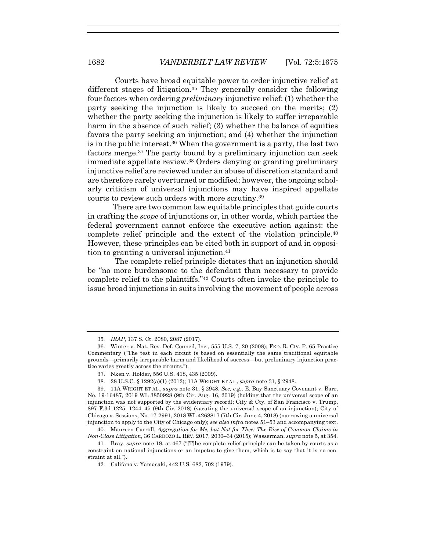Courts have broad equitable power to order injunctive relief at different stages of litigation.35 They generally consider the following four factors when ordering *preliminary* injunctive relief: (1) whether the party seeking the injunction is likely to succeed on the merits; (2) whether the party seeking the injunction is likely to suffer irreparable harm in the absence of such relief; (3) whether the balance of equities favors the party seeking an injunction; and (4) whether the injunction is in the public interest.36 When the government is a party, the last two factors merge.<sup>37</sup> The party bound by a preliminary injunction can seek immediate appellate review.38 Orders denying or granting preliminary injunctive relief are reviewed under an abuse of discretion standard and are therefore rarely overturned or modified; however, the ongoing scholarly criticism of universal injunctions may have inspired appellate courts to review such orders with more scrutiny.39

There are two common law equitable principles that guide courts in crafting the *scope* of injunctions or, in other words, which parties the federal government cannot enforce the executive action against: the complete relief principle and the extent of the violation principle.40 However, these principles can be cited both in support of and in opposition to granting a universal injunction.41

 The complete relief principle dictates that an injunction should be "no more burdensome to the defendant than necessary to provide complete relief to the plaintiffs."42 Courts often invoke the principle to issue broad injunctions in suits involving the movement of people across

<sup>35</sup>*. IRAP*, 137 S. Ct. 2080, 2087 (2017).

 <sup>36.</sup> Winter v. Nat. Res. Def. Council, Inc., 555 U.S. 7, 20 (2008); FED. R. CIV. P. 65 Practice Commentary ("The test in each circuit is based on essentially the same traditional equitable grounds—primarily irreparable harm and likelihood of success—but preliminary injunction practice varies greatly across the circuits.").

 <sup>37.</sup> Nken v. Holder, 556 U.S. 418, 435 (2009).

 <sup>38. 28</sup> U.S.C. § 1292(a)(1) (2012); 11A WRIGHT ET AL., *supra* note 31, § 2948.

 <sup>39. 11</sup>A WRIGHT ET AL., *supra* note 31, § 2948. *See, e.g.,* E. Bay Sanctuary Covenant v. Barr, No. 19-16487, 2019 WL 3850928 (9th Cir. Aug. 16, 2019) (holding that the universal scope of an injunction was not supported by the evidentiary record); City & Cty. of San Francisco v. Trump, 897 F.3d 1225, 1244–45 (9th Cir. 2018) (vacating the universal scope of an injunction); City of Chicago v. Sessions, No. 17-2991, 2018 WL 4268817 (7th Cir. June 4, 2018) (narrowing a universal injunction to apply to the City of Chicago only); *see also infra* notes 51–53 and accompanying text.

 <sup>40.</sup> Maureen Carroll, *Aggregation for Me, but Not for Thee: The Rise of Common Claims in Non-Class Litigation*, 36 CARDOZO L. REV. 2017, 2030–34 (2015); Wasserman, *supra* note 5, at 354.

<sup>41</sup>*.* Bray, *supra* note 18, at 467 ("[T]he complete-relief principle can be taken by courts as a constraint on national injunctions or an impetus to give them, which is to say that it is no constraint at all.").

<sup>42</sup>*.* Califano v. Yamasaki, 442 U.S. 682, 702 (1979).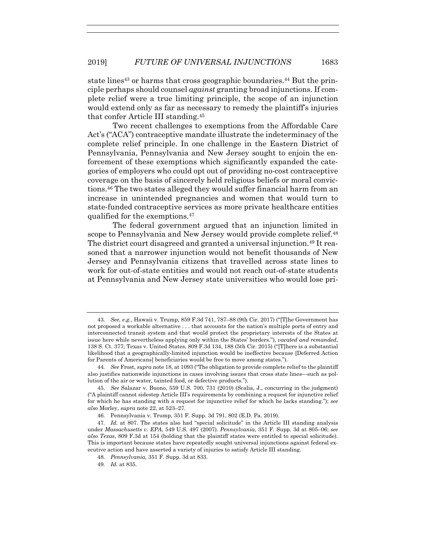state lines<sup>43</sup> or harms that cross geographic boundaries.<sup>44</sup> But the principle perhaps should counsel *against* granting broad injunctions. If complete relief were a true limiting principle, the scope of an injunction would extend only as far as necessary to remedy the plaintiff's injuries that confer Article III standing.45

Two recent challenges to exemptions from the Affordable Care Act's ("ACA") contraceptive mandate illustrate the indeterminacy of the complete relief principle. In one challenge in the Eastern District of Pennsylvania, Pennsylvania and New Jersey sought to enjoin the enforcement of these exemptions which significantly expanded the categories of employers who could opt out of providing no-cost contraceptive coverage on the basis of sincerely held religious beliefs or moral convictions.46 The two states alleged they would suffer financial harm from an increase in unintended pregnancies and women that would turn to state-funded contraceptive services as more private healthcare entities qualified for the exemptions.47

The federal government argued that an injunction limited in scope to Pennsylvania and New Jersey would provide complete relief.<sup>48</sup> The district court disagreed and granted a universal injunction.<sup>49</sup> It reasoned that a narrower injunction would not benefit thousands of New Jersey and Pennsylvania citizens that travelled across state lines to work for out-of-state entities and would not reach out-of-state students at Pennsylvania and New Jersey state universities who would lose pri-

<sup>43</sup>*. See, e.g.*, Hawaii v. Trump, 859 F.3d 741, 787–88 (9th Cir. 2017) ("[T]he Government has not proposed a workable alternative . . . that accounts for the nation's multiple ports of entry and interconnected transit system and that would protect the proprietary interests of the States at issue here while nevertheless applying only within the States' borders."), *vacated and remanded*, 138 S. Ct. 377; Texas v. United States, 809 F.3d 134, 188 (5th Cir. 2015) ("[T]here is a substantial likelihood that a geographically-limited injunction would be ineffective because [Deferred Action for Parents of Americans] beneficiaries would be free to move among states.").

<sup>44</sup>*. See* Frost, *supra* note 18, at 1093 ("The obligation to provide complete relief to the plaintiff also justifies nationwide injunctions in cases involving issues that cross state lines—such as pollution of the air or water, tainted food, or defective products.").

 <sup>45.</sup> *See* Salazar v. Buono, 559 U.S. 700, 731 (2010) (Scalia, J., concurring in the judgment) ("A plaintiff cannot sidestep Article III's requirements by combining a request for injunctive relief for which he has standing with a request for injunctive relief for which he lacks standing."); *see also* Morley, *supra* note 22, at 523–27.

 <sup>46.</sup> Pennsylvania v. Trump, 351 F. Supp. 3d 791, 802 (E.D. Pa. 2019).

<sup>47</sup>*. Id.* at 807. The states also had "special solicitude" in the Article III standing analysis under *Massachusetts v. EPA*, 549 U.S. 497 (2007). *Pennsylvania*, 351 F. Supp. 3d at 805–06; *see also Texas*, 809 F.3d at 154 (holding that the plaintiff states were entitled to special solicitude). This is important because states have repeatedly sought universal injunctions against federal executive action and have asserted a variety of injuries to satisfy Article III standing.

<sup>48</sup>*. Pennsylvania*, 351 F. Supp. 3d at 833.

<sup>49</sup>*. Id.* at 835.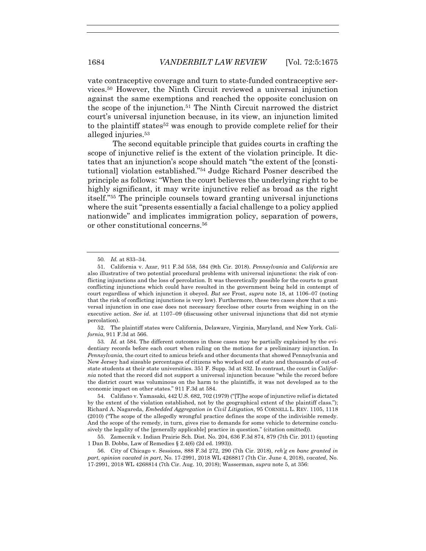vate contraceptive coverage and turn to state-funded contraceptive services.50 However, the Ninth Circuit reviewed a universal injunction against the same exemptions and reached the opposite conclusion on the scope of the injunction.51 The Ninth Circuit narrowed the district court's universal injunction because, in its view, an injunction limited to the plaintiff states<sup>52</sup> was enough to provide complete relief for their alleged injuries.53

The second equitable principle that guides courts in crafting the scope of injunctive relief is the extent of the violation principle. It dictates that an injunction's scope should match "the extent of the [constitutional] violation established."54 Judge Richard Posner described the principle as follows: "When the court believes the underlying right to be highly significant, it may write injunctive relief as broad as the right itself."55 The principle counsels toward granting universal injunctions where the suit "presents essentially a facial challenge to a policy applied nationwide" and implicates immigration policy, separation of powers, or other constitutional concerns.56

 52. The plaintiff states were California, Delaware, Virginia, Maryland, and New York. *California*, 911 F.3d at 566.

53*. Id.* at 584. The different outcomes in these cases may be partially explained by the evidentiary records before each court when ruling on the motions for a preliminary injunction. In *Pennsylvania*, the court cited to amicus briefs and other documents that showed Pennsylvania and New Jersey had sizeable percentages of citizens who worked out of state and thousands of out-ofstate students at their state universities. 351 F. Supp. 3d at 832. In contrast, the court in *California* noted that the record did not support a universal injunction because "while the record before the district court was voluminous on the harm to the plaintiffs, it was not developed as to the economic impact on other states." 911 F.3d at 584.

 54. Califano v. Yamasaki*,* 442 U.S. 682, 702 (1979) ("[T]he scope of injunctive relief is dictated by the extent of the violation established, not by the geographical extent of the plaintiff class."); Richard A. Nagareda, *Embedded Aggregation in Civil Litigation*, 95 CORNELL L. REV. 1105, 1118 (2010) ("The scope of the allegedly wrongful practice defines the scope of the indivisible remedy. And the scope of the remedy, in turn, gives rise to demands for some vehicle to determine conclusively the legality of the [generally applicable] practice in question." (citation omitted)).

 55. Zamecnik v. Indian Prairie Sch. Dist. No. 204, 636 F.3d 874, 879 (7th Cir. 2011) (quoting 1 Dan B. Dobbs, Law of Remedies § 2.4(6) (2d ed. 1993)).

 56. City of Chicago v. Sessions, 888 F.3d 272, 290 (7th Cir. 2018), *reh'g en banc granted in part, opinion vacated in part*, No. 17-2991, 2018 WL 4268817 (7th Cir. June 4, 2018), *vacated*, No. 17-2991, 2018 WL 4268814 (7th Cir. Aug. 10, 2018); Wasserman, *supra* note 5, at 356:

<sup>50</sup>*. Id.* at 833–34.

 <sup>51.</sup> California v. Azar, 911 F.3d 558, 584 (9th Cir. 2018). *Pennsylvania* and *California* are also illustrative of two potential procedural problems with universal injunctions: the risk of conflicting injunctions and the loss of percolation. It was theoretically possible for the courts to grant conflicting injunctions which could have resulted in the government being held in contempt of court regardless of which injunction it obeyed. *But see* Frost, *supra* note 18, at 1106–07 (noting that the risk of conflicting injunctions is very low). Furthermore, these two cases show that a universal injunction in one case does not necessary foreclose other courts from weighing in on the executive action. *See id.* at 1107–09 (discussing other universal injunctions that did not stymie percolation).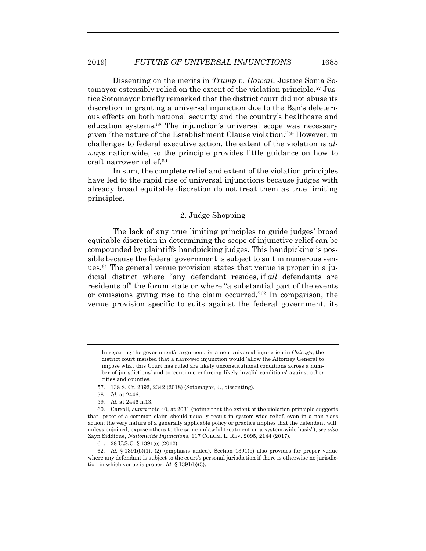Dissenting on the merits in *Trump v. Hawaii*, Justice Sonia Sotomayor ostensibly relied on the extent of the violation principle.57 Justice Sotomayor briefly remarked that the district court did not abuse its discretion in granting a universal injunction due to the Ban's deleterious effects on both national security and the country's healthcare and education systems.58 The injunction's universal scope was necessary given "the nature of the Establishment Clause violation."59 However, in challenges to federal executive action, the extent of the violation is *always* nationwide, so the principle provides little guidance on how to craft narrower relief.60

In sum, the complete relief and extent of the violation principles have led to the rapid rise of universal injunctions because judges with already broad equitable discretion do not treat them as true limiting principles.

#### 2. Judge Shopping

The lack of any true limiting principles to guide judges' broad equitable discretion in determining the scope of injunctive relief can be compounded by plaintiffs handpicking judges. This handpicking is possible because the federal government is subject to suit in numerous venues.<sup>61</sup> The general venue provision states that venue is proper in a judicial district where "any defendant resides, if *all* defendants are residents of" the forum state or where "a substantial part of the events or omissions giving rise to the claim occurred."62 In comparison, the venue provision specific to suits against the federal government, its

61. 28 U.S.C. § 1391(e) (2012).

In rejecting the government's argument for a non-universal injunction in *Chicago*, the district court insisted that a narrower injunction would 'allow the Attorney General to impose what this Court has ruled are likely unconstitutional conditions across a number of jurisdictions' and to 'continue enforcing likely invalid conditions' against other cities and counties.

 <sup>57. 138</sup> S. Ct. 2392, 2342 (2018) (Sotomayor, J., dissenting).

<sup>58</sup>*. Id.* at 2446.

<sup>59</sup>*. Id.* at 2446 n.13.

 <sup>60.</sup> Carroll, *supra* note 40, at 2031 (noting that the extent of the violation principle suggests that "proof of a common claim should usually result in system-wide relief, even in a non-class action; the very nature of a generally applicable policy or practice implies that the defendant will, unless enjoined, expose others to the same unlawful treatment on a system-wide basis"); *see also* Zayn Siddique, *Nationwide Injunctions*, 117 COLUM. L. REV. 2095, 2144 (2017).

<sup>62</sup>*. Id.* § 1391(b)(1), (2) (emphasis added). Section 1391(b) also provides for proper venue where any defendant is subject to the court's personal jurisdiction if there is otherwise no jurisdiction in which venue is proper. *Id.* § 1391(b)(3).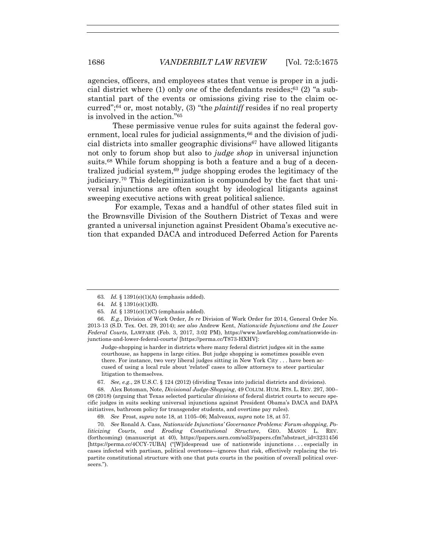agencies, officers, and employees states that venue is proper in a judicial district where (1) only *one* of the defendants resides;63 (2) "a substantial part of the events or omissions giving rise to the claim occurred";64 or, most notably, (3) "the *plaintiff* resides if no real property is involved in the action."65

These permissive venue rules for suits against the federal government, local rules for judicial assignments,<sup>66</sup> and the division of judicial districts into smaller geographic divisions<sup>67</sup> have allowed litigants not only to forum shop but also to *judge shop* in universal injunction suits.<sup>68</sup> While forum shopping is both a feature and a bug of a decentralized judicial system, $69$  judge shopping erodes the legitimacy of the judiciary.70 This delegitimization is compounded by the fact that universal injunctions are often sought by ideological litigants against sweeping executive actions with great political salience.

 For example, Texas and a handful of other states filed suit in the Brownsville Division of the Southern District of Texas and were granted a universal injunction against President Obama's executive action that expanded DACA and introduced Deferred Action for Parents

Judge-shopping is harder in districts where many federal district judges sit in the same courthouse, as happens in large cities. But judge shopping is sometimes possible even there. For instance, two very liberal judges sitting in New York City . . . have been accused of using a local rule about 'related' cases to allow attorneys to steer particular litigation to themselves.

67*. See, e.g.*, 28 U.S.C. § 124 (2012) (dividing Texas into judicial districts and divisions).

 68. Alex Botoman, Note, *Divisional Judge-Shopping*, 49 COLUM. HUM. RTS. L. REV. 297, 300– 08 (2018) (arguing that Texas selected particular *divisions* of federal district courts to secure specific judges in suits seeking universal injunctions against President Obama's DACA and DAPA initiatives, bathroom policy for transgender students, and overtime pay rules).

70*. See* Ronald A. Cass, *Nationwide Injunctions' Governance Problems: Forum-shopping, Politicizing Courts, and Eroding Constitutional Structure*, GEO. MASON L. REV. (forthcoming) (manuscript at 40), https://papers.ssrn.com/sol3/papers.cfm?abstract id=3231456 [https://perma.cc/4CCY-7UBA] ("[W]idespread use of nationwide injunctions . . . especially in cases infected with partisan, political overtones—ignores that risk, effectively replacing the tripartite constitutional structure with one that puts courts in the position of overall political overseers.").

<sup>63</sup>*. Id.* § 1391(e)(1)(A) (emphasis added).

<sup>64</sup>*. Id.* § 1391(e)(1)(B).

<sup>65</sup>*. Id.* § 1391(e)(1)(C) (emphasis added).

<sup>66</sup>*. E.g.*, Division of Work Order, *In re* Division of Work Order for 2014, General Order No. 2013-13 (S.D. Tex. Oct. 29, 2014); *see also* Andrew Kent, *Nationwide Injunctions and the Lower Federal Courts*, LAWFARE (Feb. 3, 2017, 3:02 PM), https://www.lawfareblog.com/nationwide-injunctions-and-lower-federal-courts/ [https://perma.cc/T873-HXHV]:

<sup>69</sup>*. See* Frost, *supra* note 18, at 1105–06; Malveaux, *supra* note 18, at 57.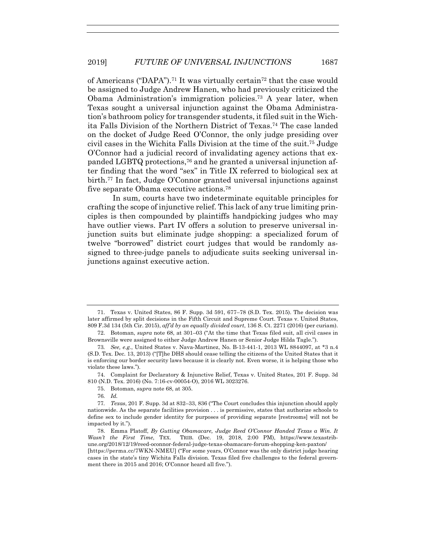of Americans ("DAPA").71 It was virtually certain72 that the case would be assigned to Judge Andrew Hanen, who had previously criticized the Obama Administration's immigration policies.73 A year later, when Texas sought a universal injunction against the Obama Administration's bathroom policy for transgender students, it filed suit in the Wichita Falls Division of the Northern District of Texas.74 The case landed on the docket of Judge Reed O'Connor, the only judge presiding over civil cases in the Wichita Falls Division at the time of the suit.75 Judge O'Connor had a judicial record of invalidating agency actions that expanded LGBTQ protections,76 and he granted a universal injunction after finding that the word "sex" in Title IX referred to biological sex at birth.77 In fact, Judge O'Connor granted universal injunctions against five separate Obama executive actions.78

In sum, courts have two indeterminate equitable principles for crafting the scope of injunctive relief. This lack of any true limiting principles is then compounded by plaintiffs handpicking judges who may have outlier views. Part IV offers a solution to preserve universal injunction suits but eliminate judge shopping: a specialized forum of twelve "borrowed" district court judges that would be randomly assigned to three-judge panels to adjudicate suits seeking universal injunctions against executive action.

 <sup>71.</sup> Texas v. United States, 86 F. Supp. 3d 591, 677–78 (S.D. Tex. 2015). The decision was later affirmed by split decisions in the Fifth Circuit and Supreme Court. Texas v. United States, 809 F.3d 134 (5th Cir. 2015), *aff'd by an equally divided court*, 136 S. Ct. 2271 (2016) (per curiam).

 <sup>72.</sup> Botoman, *supra* note 68, at 301–03 ("At the time that Texas filed suit, all civil cases in Brownsville were assigned to either Judge Andrew Hanen or Senior Judge Hilda Tagle.").

<sup>73</sup>*. See, e.g.*, United States v. Nava-Martinez, No. B-13-441-1, 2013 WL 8844097, at \*3 n.4 (S.D. Tex. Dec. 13, 2013) ("[T]he DHS should cease telling the citizens of the United States that it is enforcing our border security laws because it is clearly not. Even worse, it is helping those who violate these laws.").

 <sup>74.</sup> Complaint for Declaratory & Injunctive Relief, Texas v. United States, 201 F. Supp. 3d 810 (N.D. Tex. 2016) (No. 7:16-cv-00054-O), 2016 WL 3023276.

 <sup>75.</sup> Botoman, *supra* note 68, at 305.

<sup>76</sup>*. Id.*

<sup>77</sup>*. Texas*, 201 F. Supp. 3d at 832–33, 836 ("The Court concludes this injunction should apply nationwide. As the separate facilities provision . . . is permissive, states that authorize schools to define sex to include gender identity for purposes of providing separate [restrooms] will not be impacted by it.").

 <sup>78.</sup> Emma Platoff, *By Gutting Obamacare, Judge Reed O'Connor Handed Texas a Win. It Wasn't the First Time*, TEX. TRIB. (Dec. 19, 2018, 2:00 PM), https://www.texastribune.org/2018/12/19/reed-oconnor-federal-judge-texas-obamacare-forum-shopping-ken-paxton/ [https://perma.cc/7WKN-NMEU] ("For some years, O'Connor was the only district judge hearing cases in the state's tiny Wichita Falls division. Texas filed five challenges to the federal government there in 2015 and 2016; O'Connor heard all five.").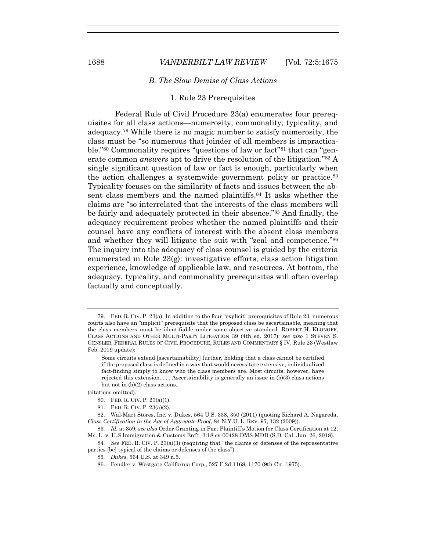1688 *VANDERBILT LAW REVIEW* [Vol. 72:5:1675

#### *B. The Slow Demise of Class Actions*

# 1. Rule 23 Prerequisites

 Federal Rule of Civil Procedure 23(a) enumerates four prerequisites for all class actions—numerosity, commonality, typicality, and adequacy.79 While there is no magic number to satisfy numerosity, the class must be "so numerous that joinder of all members is impracticable."80 Commonality requires "questions of law or fact"81 that can "generate common *answers* apt to drive the resolution of the litigation."82 A single significant question of law or fact is enough, particularly when the action challenges a systemwide government policy or practice.<sup>83</sup> Typicality focuses on the similarity of facts and issues between the absent class members and the named plaintiffs.84 It asks whether the claims are "so interrelated that the interests of the class members will be fairly and adequately protected in their absence."85 And finally, the adequacy requirement probes whether the named plaintiffs and their counsel have any conflicts of interest with the absent class members and whether they will litigate the suit with "zeal and competence."<sup>86</sup> The inquiry into the adequacy of class counsel is guided by the criteria enumerated in Rule 23(g): investigative efforts, class action litigation experience, knowledge of applicable law, and resources. At bottom, the adequacy, typicality, and commonality prerequisites will often overlap factually and conceptually.

(citations omitted).

 <sup>79.</sup> FED. R. CIV. P. 23(a). In addition to the four "explicit" prerequisites of Rule 23, numerous courts also have an "implicit" prerequisite that the proposed class be ascertainable, meaning that the class members must be identifiable under some objective standard. ROBERT H. KLONOFF, CLASS ACTIONS AND OTHER MULTI-PARTY LITIGATION 39 (4th ed. 2017); *see also* 1 STEVEN S. GENSLER, FEDERAL RULES OF CIVIL PROCEDURE, RULES AND COMMENTARY § IV, Rule 23 (Westlaw Feb. 2019 update):

Some circuits extend [ascertainability] further, holding that a class cannot be certified if the proposed class is defined in a way that would necessitate extensive, individualized fact-finding simply to know who the class members are. Most circuits, however, have rejected this extension.  $\ldots$  Ascertainability is generally an issue in  $(b)(3)$  class actions but not in (b)(2) class actions.

 <sup>80.</sup> FED. R. CIV. P. 23(a)(1).

 <sup>81.</sup> FED. R. CIV. P. 23(a)(2).

 <sup>82.</sup> Wal-Mart Stores, Inc. v. Dukes, 564 U.S. 338, 350 (2011) (quoting Richard A. Nagareda, *Class Certification in the Age of Aggregate Proof*, 84 N.Y.U. L. REV. 97, 132 (2009)).

<sup>83</sup>*. Id.* at 359; *see also* Order Granting in Part Plaintiff's Motion for Class Certification at 12, Ms. L. v. U.S Immigration & Customs Enf't, 3:18-cv-00428-DMS-MDD (S.D. Cal. Jun. 26, 2018).

<sup>84</sup>*. See* FED. R. CIV. P. 23(a)(3) (requiring that "the claims or defenses of the representative parties [be] typical of the claims or defenses of the class").

<sup>85</sup>*. Dukes*, 564 U.S. at 349 n.5.

 <sup>86.</sup> Fendler v. Westgate-California Corp., 527 F.2d 1168, 1170 (9th Cir. 1975).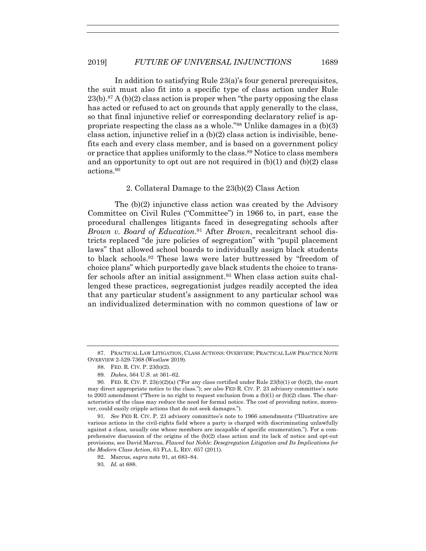In addition to satisfying Rule 23(a)'s four general prerequisites, the suit must also fit into a specific type of class action under Rule  $23(b).87 A (b)(2)$  class action is proper when "the party opposing the class" has acted or refused to act on grounds that apply generally to the class, so that final injunctive relief or corresponding declaratory relief is appropriate respecting the class as a whole."88 Unlike damages in a (b)(3) class action, injunctive relief in a (b)(2) class action is indivisible, benefits each and every class member, and is based on a government policy or practice that applies uniformly to the class.89 Notice to class members and an opportunity to opt out are not required in  $(b)(1)$  and  $(b)(2)$  class actions.90

#### 2. Collateral Damage to the 23(b)(2) Class Action

 The (b)(2) injunctive class action was created by the Advisory Committee on Civil Rules ("Committee") in 1966 to, in part, ease the procedural challenges litigants faced in desegregating schools after *Brown v. Board of Education*.91 After *Brown*, recalcitrant school districts replaced "de jure policies of segregation" with "pupil placement laws" that allowed school boards to individually assign black students to black schools.92 These laws were later buttressed by "freedom of choice plans" which purportedly gave black students the choice to transfer schools after an initial assignment.93 When class action suits challenged these practices, segregationist judges readily accepted the idea that any particular student's assignment to any particular school was an individualized determination with no common questions of law or

91*. See* FED R. CIV. P. 23 advisory committee's note to 1966 amendments ("Illustrative are various actions in the civil-rights field where a party is charged with discriminating unlawfully against a class, usually one whose members are incapable of specific enumeration."). For a comprehensive discussion of the origins of the (b)(2) class action and its lack of notice and opt-out provisions, see David Marcus, *Flawed but Noble: Desegregation Litigation and Its Implications for the Modern Class Action*, 63 FLA. L. REV. 657 (2011).

93*. Id.* at 688.

 <sup>87.</sup> PRACTICAL LAW LITIGATION, CLASS ACTIONS: OVERVIEW; PRACTICAL LAW PRACTICE NOTE OVERVIEW 2-529-7368 (Westlaw 2019).

 <sup>88.</sup> FED. R. CIV. P. 23(b)(2).

<sup>89</sup>*. Dukes*, 564 U.S. at 361–62.

<sup>90</sup>*.* FED. R. CIV. P. 23(c)(2)(a) ("For any class certified under Rule 23(b)(1) or (b)(2), the court may direct appropriate notice to the class."); *see also* FED R. CIV. P. 23 advisory committee's note to 2003 amendment ("There is no right to request exclusion from a  $(b)(1)$  or  $(b)(2)$  class. The characteristics of the class may reduce the need for formal notice. The cost of providing notice, moreover, could easily cripple actions that do not seek damages.").

 <sup>92.</sup> Marcus, *supra* note 91, at 683–84.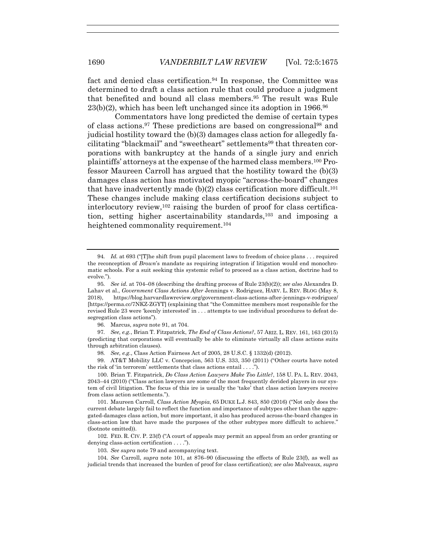fact and denied class certification.<sup>94</sup> In response, the Committee was determined to draft a class action rule that could produce a judgment that benefited and bound all class members.95 The result was Rule 23(b)(2), which has been left unchanged since its adoption in 1966.96

 Commentators have long predicted the demise of certain types of class actions.97 These predictions are based on congressional98 and judicial hostility toward the (b)(3) damages class action for allegedly facilitating "blackmail" and "sweetheart" settlements<sup>99</sup> that threaten corporations with bankruptcy at the hands of a single jury and enrich plaintiffs' attorneys at the expense of the harmed class members.100 Professor Maureen Carroll has argued that the hostility toward the (b)(3) damages class action has motivated myopic "across-the-board" changes that have inadvertently made (b)(2) class certification more difficult.<sup>101</sup> These changes include making class certification decisions subject to interlocutory review,102 raising the burden of proof for class certification, setting higher ascertainability standards,103 and imposing a heightened commonality requirement.<sup>104</sup>

96. Marcus, *supra* note 91, at 704.

97*. See, e.g.*, Brian T. Fitzpatrick, *The End of Class Actions?*, 57 ARIZ. L. REV. 161, 163 (2015) (predicting that corporations will eventually be able to eliminate virtually all class actions suits through arbitration clauses).

98*. See, e.g.*, Class Action Fairness Act of 2005, 28 U.S.C. § 1332(d) (2012).

 99. AT&T Mobility LLC v. Concepcion, 563 U.S. 333, 350 (2011) ("Other courts have noted the risk of 'in terrorem' settlements that class actions entail . . . .").

 101. Maureen Carroll, *Class Action Myopia*, 65 DUKE L.J. 843, 850 (2016) ("Not only does the current debate largely fail to reflect the function and importance of subtypes other than the aggregated-damages class action, but more important, it also has produced across-the-board changes in class-action law that have made the purposes of the other subtypes more difficult to achieve." (footnote omitted)).

102*.* FED. R. CIV. P. 23(f) ("A court of appeals may permit an appeal from an order granting or denying class-action certification . . . .").

103*. See supra* note 79 and accompanying text.

104*. See* Carroll, *supra* note 101, at 876–90 (discussing the effects of Rule 23(f), as well as judicial trends that increased the burden of proof for class certification); *see also* Malveaux, *supra*

<sup>94</sup>*. Id.* at 693 ("[T]he shift from pupil placement laws to freedom of choice plans . . . required the reconception of *Brown*'s mandate as requiring integration if litigation would end monochromatic schools. For a suit seeking this systemic relief to proceed as a class action, doctrine had to evolve.").

<sup>95</sup>*. See id.* at 704–08 (describing the drafting process of Rule 23(b)(2)); *see also* Alexandra D. Lahav et al., *Government Class Actions After* Jennings v. Rodriguez, HARV. L. REV. BLOG (May 8, 2018), https://blog.harvardlawreview.org/government-class-actions-after-jennings-v-rodriguez/ [https://perma.cc/7NKZ-ZGYT] (explaining that "the Committee members most responsible for the revised Rule 23 were 'keenly interested' in . . . attempts to use individual procedures to defeat desegregation class actions").

 <sup>100.</sup> Brian T. Fitzpatrick, *Do Class Action Lawyers Make Too Little?*, 158 U. PA. L. REV. 2043, 2043–44 (2010) ("Class action lawyers are some of the most frequently derided players in our system of civil litigation. The focus of this ire is usually the 'take' that class action lawyers receive from class action settlements.").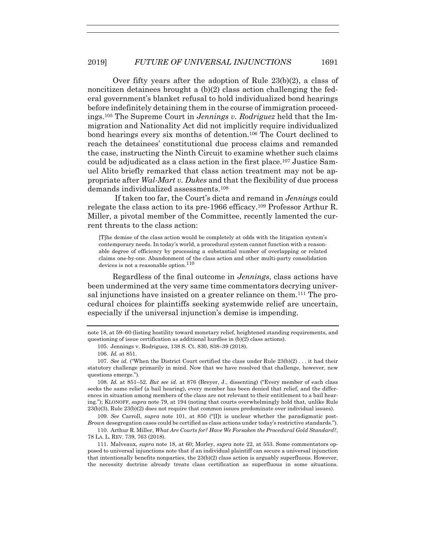Over fifty years after the adoption of Rule 23(b)(2), a class of noncitizen detainees brought a  $(b)(2)$  class action challenging the federal government's blanket refusal to hold individualized bond hearings before indefinitely detaining them in the course of immigration proceedings.105 The Supreme Court in *Jennings v. Rodriguez* held that the Immigration and Nationality Act did not implicitly require individualized bond hearings every six months of detention.<sup>106</sup> The Court declined to reach the detainees' constitutional due process claims and remanded the case, instructing the Ninth Circuit to examine whether such claims could be adjudicated as a class action in the first place.107 Justice Samuel Alito briefly remarked that class action treatment may not be appropriate after *Wal-Mart v. Dukes* and that the flexibility of due process demands individualized assessments.108

 If taken too far, the Court's dicta and remand in *Jennings* could relegate the class action to its pre-1966 efficacy.109 Professor Arthur R. Miller, a pivotal member of the Committee, recently lamented the current threats to the class action:

[T]he demise of the class action would be completely at odds with the litigation system's contemporary needs. In today's world, a procedural system cannot function with a reasonable degree of efficiency by processing a substantial number of overlapping or related claims one-by-one. Abandonment of the class action and other multi-party consolidation devices is not a reasonable option.<sup>110</sup>

Regardless of the final outcome in *Jennings*, class actions have been undermined at the very same time commentators decrying universal injunctions have insisted on a greater reliance on them.111 The procedural choices for plaintiffs seeking systemwide relief are uncertain, especially if the universal injunction's demise is impending.

108*. Id.* at 851–52. *But see id.* at 876 (Breyer, J., dissenting) ("Every member of each class seeks the same relief (a bail hearing), every member has been denied that relief, and the differences in situation among members of the class are not relevant to their entitlement to a bail hearing."); KLONOFF, *supra* note 79, at 194 (noting that courts overwhelmingly hold that, unlike Rule 23(b)(3), Rule 23(b)(2) does not require that common issues predominate over individual issues).

109*. See* Carroll, *supra* note 101, at 850 ("[I]t is unclear whether the paradigmatic post-*Brown* desegregation cases could be certified as class actions under today's restrictive standards.").

 110. Arthur R. Miller, *What Are Courts for? Have We Forsaken the Procedural Gold Standard?*, 78 LA. L. REV. 739, 763 (2018).

 111. Malveaux, *supra* note 18, at 60; Morley, *supra* note 22, at 553. Some commentators opposed to universal injunctions note that if an individual plaintiff can secure a universal injunction that intentionally benefits nonparties, the 23(b)(2) class action is arguably superfluous. However, the necessity doctrine already treats class certification as superfluous in some situations.

note 18, at 59–60 (listing hostility toward monetary relief, heightened standing requirements, and questioning of issue certification as additional hurdles in (b)(2) class actions).

 <sup>105.</sup> Jennings v. Rodriguez, 138 S. Ct. 830, 838–39 (2018).

<sup>106</sup>*. Id.* at 851.

<sup>107</sup>*. See id.* ("When the District Court certified the class under Rule 23(b)(2) . . . it had their statutory challenge primarily in mind. Now that we have resolved that challenge, however, new questions emerge.").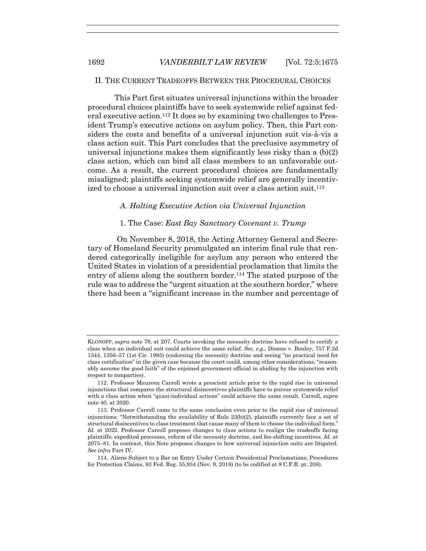# II. THE CURRENT TRADEOFFS BETWEEN THE PROCEDURAL CHOICES

This Part first situates universal injunctions within the broader procedural choices plaintiffs have to seek systemwide relief against federal executive action.<sup>112</sup> It does so by examining two challenges to President Trump's executive actions on asylum policy. Then, this Part considers the costs and benefits of a universal injunction suit vis-à-vis a class action suit. This Part concludes that the preclusive asymmetry of universal injunctions makes them significantly less risky than a (b)(2) class action, which can bind all class members to an unfavorable outcome. As a result, the current procedural choices are fundamentally misaligned; plaintiffs seeking systemwide relief are generally incentivized to choose a universal injunction suit over a class action suit.<sup>113</sup>

# *A. Halting Executive Action via Universal Injunction*

# 1. The Case: *East Bay Sanctuary Covenant v. Trump*

 On November 8, 2018, the Acting Attorney General and Secretary of Homeland Security promulgated an interim final rule that rendered categorically ineligible for asylum any person who entered the United States in violation of a presidential proclamation that limits the entry of aliens along the southern border.<sup>114</sup> The stated purpose of the rule was to address the "urgent situation at the southern border," where there had been a "significant increase in the number and percentage of

KLONOFF, *supra* note 79, at 207. Courts invoking the necessity doctrine have refused to certify a class when an individual suit could achieve the same relief*. See, e.g.*, Dionne v. Bouley, 757 F.2d 1344, 1356–57 (1st Cir. 1985) (endorsing the necessity doctrine and seeing "no practical need for class certification" in the given case because the court could, among other considerations, "reasonably assume the good faith" of the enjoined government official in abiding by the injunction with respect to nonparties).

 <sup>112.</sup> Professor Maureen Carroll wrote a prescient article prior to the rapid rise in universal injunctions that compares the structural disincentives plaintiffs have to pursue systemwide relief with a class action when "quasi-individual actions" could achieve the same result. Carroll*, supra* note 40, at 2020.

 <sup>113.</sup> Professor Carroll came to the same conclusion even prior to the rapid rise of universal injunctions: "Notwithstanding the availability of Rule 23(b)(2), plaintiffs currently face a set of structural disincentives to class treatment that cause many of them to choose the individual form." *Id.* at 2022. Professor Carroll proposes changes to class actions to realign the tradeoffs facing plaintiffs: expedited processes, reform of the necessity doctrine, and fee-shifting incentives. *Id.* at 2075–81. In contrast, this Note proposes changes to how universal injunction suits are litigated. *See infra* Part IV.

 <sup>114.</sup> Aliens Subject to a Bar on Entry Under Certain Presidential Proclamations; Procedures for Protection Claims, 83 Fed. Reg. 55,934 (Nov. 9, 2018) (to be codified at 8 C.F.R. pt. 208).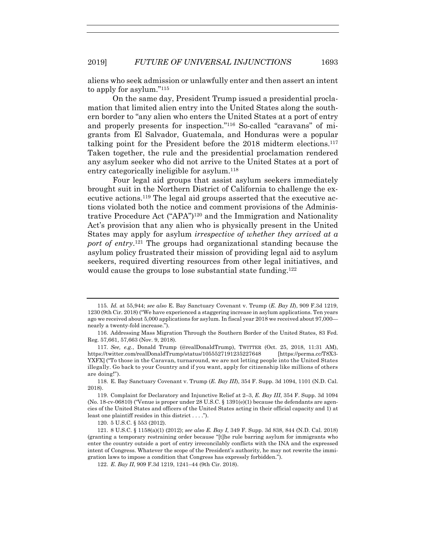aliens who seek admission or unlawfully enter and then assert an intent to apply for asylum."115

On the same day, President Trump issued a presidential proclamation that limited alien entry into the United States along the southern border to "any alien who enters the United States at a port of entry and properly presents for inspection."116 So-called "caravans" of migrants from El Salvador, Guatemala, and Honduras were a popular talking point for the President before the 2018 midterm elections.117 Taken together, the rule and the presidential proclamation rendered any asylum seeker who did not arrive to the United States at a port of entry categorically ineligible for asylum.118

Four legal aid groups that assist asylum seekers immediately brought suit in the Northern District of California to challenge the executive actions.119 The legal aid groups asserted that the executive actions violated both the notice and comment provisions of the Administrative Procedure Act ("APA")120 and the Immigration and Nationality Act's provision that any alien who is physically present in the United States may apply for asylum *irrespective of whether they arrived at a port of entry*.121 The groups had organizational standing because the asylum policy frustrated their mission of providing legal aid to asylum seekers, required diverting resources from other legal initiatives, and would cause the groups to lose substantial state funding.<sup>122</sup>

120. 5 U.S.C. § 553 (2012).

<sup>115</sup>*. Id.* at 55,944; *see also* E. Bay Sanctuary Covenant v. Trump (*E. Bay II*), 909 F.3d 1219, 1230 (9th Cir. 2018) ("We have experienced a staggering increase in asylum applications. Ten years ago we received about 5,000 applications for asylum. In fiscal year 2018 we received about 97,000 nearly a twenty-fold increase.").

 <sup>116.</sup> Addressing Mass Migration Through the Southern Border of the United States, 83 Fed. Reg. 57,661, 57,663 (Nov. 9, 2018).

<sup>117</sup>*. See, e.g.*, Donald Trump (@realDonaldTrump), TWITTER (Oct. 25, 2018, 11:31 AM), https://twitter.com/realDonaldTrump/status/1055527191235227648 [https://perma.cc/T8X3- YXFX] ("To those in the Caravan, turnaround, we are not letting people into the United States illegally. Go back to your Country and if you want, apply for citizenship like millions of others are doing!").

 <sup>118.</sup> E. Bay Sanctuary Covenant v. Trump (*E. Bay III*), 354 F. Supp. 3d 1094, 1101 (N.D. Cal. 2018).

<sup>119.</sup> Complaint for Declaratory and Injunctive Relief at 2–3, *E. Bay III*, 354 F. Supp. 3d 1094 (No. 18-cv-06810) ("Venue is proper under 28 U.S.C.  $\S$  1391(e)(1) because the defendants are agencies of the United States and officers of the United States acting in their official capacity and 1) at least one plaintiff resides in this district . . . .").

 <sup>121. 8</sup> U.S.C. § 1158(a)(1) (2012); *see also E. Bay I*, 349 F. Supp. 3d 838, 844 (N.D. Cal. 2018) (granting a temporary restraining order because "[t]he rule barring asylum for immigrants who enter the country outside a port of entry irreconcilably conflicts with the INA and the expressed intent of Congress. Whatever the scope of the President's authority, he may not rewrite the immigration laws to impose a condition that Congress has expressly forbidden.").

 <sup>122.</sup> *E. Bay II*, 909 F.3d 1219, 1241–44 (9th Cir. 2018).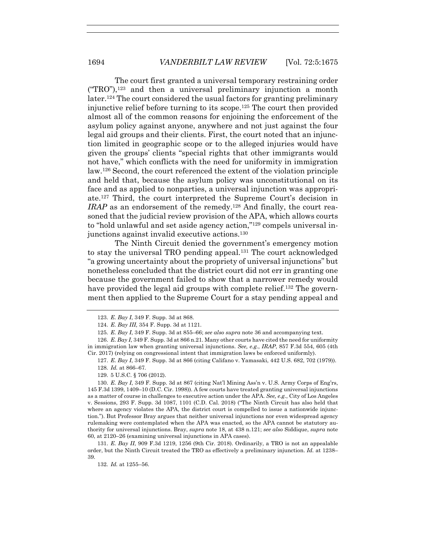The court first granted a universal temporary restraining order  $("TRO")$ ,<sup>123</sup> and then a universal preliminary injunction a month later.124 The court considered the usual factors for granting preliminary injunctive relief before turning to its scope.125 The court then provided almost all of the common reasons for enjoining the enforcement of the asylum policy against anyone, anywhere and not just against the four legal aid groups and their clients. First, the court noted that an injunction limited in geographic scope or to the alleged injuries would have given the groups' clients "special rights that other immigrants would not have," which conflicts with the need for uniformity in immigration law.126 Second, the court referenced the extent of the violation principle and held that, because the asylum policy was unconstitutional on its face and as applied to nonparties, a universal injunction was appropriate.127 Third, the court interpreted the Supreme Court's decision in *IRAP* as an endorsement of the remedy.<sup>128</sup> And finally, the court reasoned that the judicial review provision of the APA, which allows courts to "hold unlawful and set aside agency action,"129 compels universal injunctions against invalid executive actions.130

 The Ninth Circuit denied the government's emergency motion to stay the universal TRO pending appeal.<sup>131</sup> The court acknowledged "a growing uncertainty about the propriety of universal injunctions" but nonetheless concluded that the district court did not err in granting one because the government failed to show that a narrower remedy would have provided the legal aid groups with complete relief.<sup>132</sup> The government then applied to the Supreme Court for a stay pending appeal and

129. 5 U.S.C. § 706 (2012).

 130. *E. Bay I*, 349 F. Supp. 3d at 867 (citing Nat'l Mining Ass'n v. U.S. Army Corps of Eng'rs, 145 F.3d 1399, 1409–10 (D.C. Cir. 1998)). A few courts have treated granting universal injunctions as a matter of course in challenges to executive action under the APA. *See, e.g.*, City of Los Angeles v. Sessions, 293 F. Supp. 3d 1087, 1101 (C.D. Cal. 2018) ("The Ninth Circuit has also held that where an agency violates the APA, the district court is compelled to issue a nationwide injunction."). But Professor Bray argues that neither universal injunctions nor even widespread agency rulemaking were contemplated when the APA was enacted, so the APA cannot be statutory authority for universal injunctions. Bray, *supra* note 18, at 438 n.121; *see also* Siddique, *supra* note 60, at 2120–26 (examining universal injunctions in APA cases).

 131. *E. Bay II*, 909 F.3d 1219, 1256 (9th Cir. 2018). Ordinarily, a TRO is not an appealable order, but the Ninth Circuit treated the TRO as effectively a preliminary injunction. *Id.* at 1238– 39.

132*. Id.* at 1255–56.

 <sup>123.</sup> *E. Bay I*, 349 F. Supp. 3d at 868.

 <sup>124.</sup> *E. Bay III,* 354 F. Supp. 3d at 1121.

<sup>125</sup>*. E. Bay I*, 349 F. Supp. 3d at 855–66; *see also supra* note 36 and accompanying text.

 <sup>126.</sup> *E. Bay I*, 349 F. Supp. 3d at 866 n.21. Many other courts have cited the need for uniformity in immigration law when granting universal injunctions. *See, e.g.*, *IRAP*, 857 F.3d 554, 605 (4th Cir. 2017) (relying on congressional intent that immigration laws be enforced uniformly).

 <sup>127.</sup> *E. Bay I*, 349 F. Supp. 3d at 866 (citing Califano v. Yamasaki, 442 U.S. 682, 702 (1979)). 128*. Id.* at 866–67*.*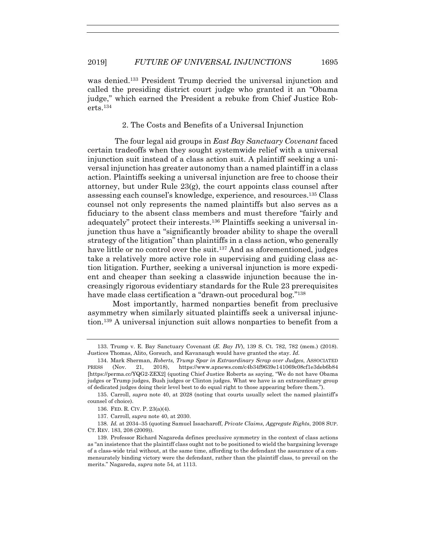was denied.133 President Trump decried the universal injunction and called the presiding district court judge who granted it an "Obama judge," which earned the President a rebuke from Chief Justice Roberts.134

## 2. The Costs and Benefits of a Universal Injunction

 The four legal aid groups in *East Bay Sanctuary Covenant* faced certain tradeoffs when they sought systemwide relief with a universal injunction suit instead of a class action suit. A plaintiff seeking a universal injunction has greater autonomy than a named plaintiff in a class action. Plaintiffs seeking a universal injunction are free to choose their attorney, but under Rule  $23(g)$ , the court appoints class counsel after assessing each counsel's knowledge, experience, and resources.135 Class counsel not only represents the named plaintiffs but also serves as a fiduciary to the absent class members and must therefore "fairly and adequately" protect their interests.136 Plaintiffs seeking a universal injunction thus have a "significantly broader ability to shape the overall strategy of the litigation" than plaintiffs in a class action, who generally have little or no control over the suit.<sup>137</sup> And as aforementioned, judges take a relatively more active role in supervising and guiding class action litigation. Further, seeking a universal injunction is more expedient and cheaper than seeking a classwide injunction because the increasingly rigorous evidentiary standards for the Rule 23 prerequisites have made class certification a "drawn-out procedural bog."<sup>138</sup>

Most importantly, harmed nonparties benefit from preclusive asymmetry when similarly situated plaintiffs seek a universal injunction.139 A universal injunction suit allows nonparties to benefit from a

137. Carroll, *supra* note 40, at 2030.

 <sup>133.</sup> Trump v. E. Bay Sanctuary Covenant (*E. Bay IV*), 139 S. Ct. 782, 782 (mem.) (2018). Justices Thomas, Alito, Gorsuch, and Kavanaugh would have granted the stay. *Id.*

 <sup>134.</sup> Mark Sherman, *Roberts, Trump Spar in Extraordinary Scrap over Judges*, ASSOCIATED PRESS (Nov. 21, 2018), https://www.apnews.com/c4b34f9639e141069c08cf1e3deb6b84 [https://perma.cc/YQG2-ZEX2] (quoting Chief Justice Roberts as saying, "We do not have Obama judges or Trump judges, Bush judges or Clinton judges. What we have is an extraordinary group of dedicated judges doing their level best to do equal right to those appearing before them.").

 <sup>135.</sup> Carroll, *supra* note 40, at 2028 (noting that courts usually select the named plaintiff's counsel of choice).

 <sup>136.</sup> FED. R. CIV. P. 23(a)(4).

<sup>138</sup>*. Id.* at 2034–35 (quoting Samuel Issacharoff, *Private Claims, Aggregate Rights*, 2008 SUP. CT. REV. 183, 208 (2009)).

 <sup>139.</sup> Professor Richard Nagareda defines preclusive symmetry in the context of class actions as "an insistence that the plaintiff class ought not to be positioned to wield the bargaining leverage of a class-wide trial without, at the same time, affording to the defendant the assurance of a commensurately binding victory were the defendant, rather than the plaintiff class, to prevail on the merits." Nagareda, *supra* note 54, at 1113.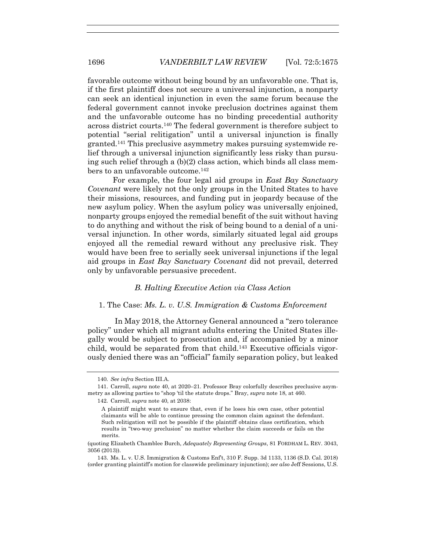favorable outcome without being bound by an unfavorable one. That is, if the first plaintiff does not secure a universal injunction, a nonparty can seek an identical injunction in even the same forum because the federal government cannot invoke preclusion doctrines against them and the unfavorable outcome has no binding precedential authority across district courts.140 The federal government is therefore subject to potential "serial relitigation" until a universal injunction is finally granted.141 This preclusive asymmetry makes pursuing systemwide relief through a universal injunction significantly less risky than pursuing such relief through a (b)(2) class action, which binds all class members to an unfavorable outcome.<sup>142</sup>

For example, the four legal aid groups in *East Bay Sanctuary Covenant* were likely not the only groups in the United States to have their missions, resources, and funding put in jeopardy because of the new asylum policy. When the asylum policy was universally enjoined, nonparty groups enjoyed the remedial benefit of the suit without having to do anything and without the risk of being bound to a denial of a universal injunction. In other words, similarly situated legal aid groups enjoyed all the remedial reward without any preclusive risk. They would have been free to serially seek universal injunctions if the legal aid groups in *East Bay Sanctuary Covenant* did not prevail, deterred only by unfavorable persuasive precedent.

# *B. Halting Executive Action via Class Action*

# 1. The Case: *Ms. L. v. U.S. Immigration & Customs Enforcement*

 In May 2018, the Attorney General announced a "zero tolerance policy" under which all migrant adults entering the United States illegally would be subject to prosecution and, if accompanied by a minor child, would be separated from that child.143 Executive officials vigorously denied there was an "official" family separation policy, but leaked

<sup>140</sup>*. See infra* Section III.A.

 <sup>141.</sup> Carroll, *supra* note 40, at 2020–21. Professor Bray colorfully describes preclusive asymmetry as allowing parties to "shop 'til the statute drops." Bray, *supra* note 18, at 460.

<sup>142</sup>*.* Carroll, *supra* note 40, at 2038:

A plaintiff might want to ensure that, even if he loses his own case, other potential claimants will be able to continue pressing the common claim against the defendant. Such relitigation will not be possible if the plaintiff obtains class certification, which results in "two-way preclusion" no matter whether the claim succeeds or fails on the merits.

<sup>(</sup>quoting Elizabeth Chamblee Burch, *Adequately Representing Groups*, 81 FORDHAM L. REV. 3043, 3056 (2013)).

 <sup>143.</sup> Ms. L. v. U.S. Immigration & Customs Enf't, 310 F. Supp. 3d 1133, 1136 (S.D. Cal. 2018) (order granting plaintiff's motion for classwide preliminary injunction); *see also* Jeff Sessions, U.S.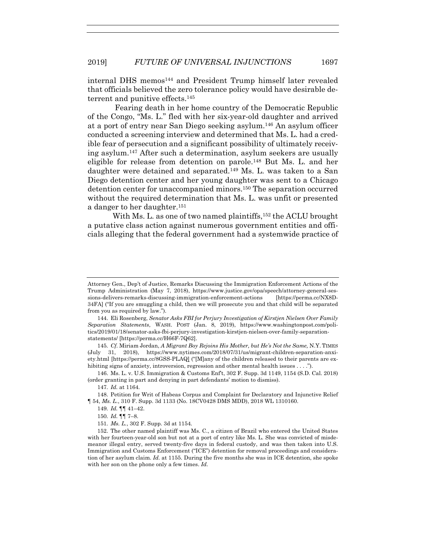internal DHS memos144 and President Trump himself later revealed that officials believed the zero tolerance policy would have desirable deterrent and punitive effects.145

 Fearing death in her home country of the Democratic Republic of the Congo, "Ms. L." fled with her six-year-old daughter and arrived at a port of entry near San Diego seeking asylum.146 An asylum officer conducted a screening interview and determined that Ms. L. had a credible fear of persecution and a significant possibility of ultimately receiving asylum.147 After such a determination, asylum seekers are usually eligible for release from detention on parole.148 But Ms. L. and her daughter were detained and separated.149 Ms. L. was taken to a San Diego detention center and her young daughter was sent to a Chicago detention center for unaccompanied minors.150 The separation occurred without the required determination that Ms. L. was unfit or presented a danger to her daughter.151

With Ms. L. as one of two named plaintiffs,<sup>152</sup> the ACLU brought a putative class action against numerous government entities and officials alleging that the federal government had a systemwide practice of

Attorney Gen., Dep't of Justice, Remarks Discussing the Immigration Enforcement Actions of the Trump Administration (May 7, 2018), https://www.justice.gov/opa/speech/attorney-general-sessions-delivers-remarks-discussing-immigration-enforcement-actions [https://perma.cc/NX8D-34FA] ("If you are smuggling a child, then we will prosecute you and that child will be separated from you as required by law.").

 <sup>144.</sup> Eli Rosenberg, *Senator Asks FBI for Perjury Investigation of Kirstjen Nielsen Over Family Separation Statements*, WASH. POST (Jan. 8, 2019), https://www.washingtonpost.com/politics/2019/01/18/senator-asks-fbi-perjury-investigation-kirstjen-nielsen-over-family-separationstatements/ [https://perma.cc/H66F-7Q62].

<sup>145</sup>*. Cf.* Miriam Jordan, *A Migrant Boy Rejoins His Mother, but He's Not the Same,* N.Y. TIMES (July 31, 2018), https://www.nytimes.com/2018/07/31/us/migrant-children-separation-anxiety.html [https://perma.cc/8GSS-PLAQ] ("[M]any of the children released to their parents are exhibiting signs of anxiety, introversion, regression and other mental health issues . . . .").

 <sup>146.</sup> Ms. L. v. U.S. Immigration & Customs Enf't, 302 F. Supp. 3d 1149, 1154 (S.D. Cal. 2018) (order granting in part and denying in part defendants' motion to dismiss).

<sup>147</sup>*. Id.* at 1164*.*

 <sup>148.</sup> Petition for Writ of Habeas Corpus and Complaint for Declaratory and Injunctive Relief ¶ 54, *Ms. L.*, 310 F. Supp. 3d 1133 (No. 18CV0428 DMS MDD), 2018 WL 1310160.

<sup>149</sup>*. Id.* ¶¶ 41–42.

<sup>150</sup>*. Id.* ¶¶ 7–8.

<sup>151</sup>*. Ms. L.*, 302 F. Supp. 3d at 1154.

 <sup>152.</sup> The other named plaintiff was Ms. C., a citizen of Brazil who entered the United States with her fourteen-year-old son but not at a port of entry like Ms. L. She was convicted of misdemeanor illegal entry, served twenty-five days in federal custody, and was then taken into U.S. Immigration and Customs Enforcement ("ICE") detention for removal proceedings and consideration of her asylum claim. *Id.* at 1155. During the five months she was in ICE detention, she spoke with her son on the phone only a few times. *Id.*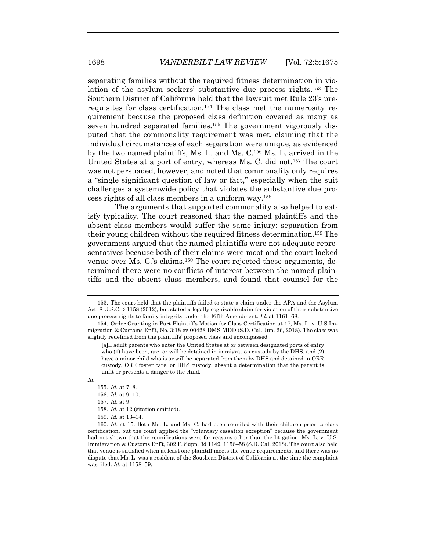separating families without the required fitness determination in violation of the asylum seekers' substantive due process rights.153 The Southern District of California held that the lawsuit met Rule 23's prerequisites for class certification.154 The class met the numerosity requirement because the proposed class definition covered as many as seven hundred separated families.<sup>155</sup> The government vigorously disputed that the commonality requirement was met, claiming that the individual circumstances of each separation were unique, as evidenced by the two named plaintiffs, Ms. L. and Ms. C.156 Ms. L. arrived in the United States at a port of entry, whereas Ms. C. did not.157 The court was not persuaded, however, and noted that commonality only requires a "single significant question of law or fact," especially when the suit challenges a systemwide policy that violates the substantive due process rights of all class members in a uniform way.158

 The arguments that supported commonality also helped to satisfy typicality. The court reasoned that the named plaintiffs and the absent class members would suffer the same injury: separation from their young children without the required fitness determination.159 The government argued that the named plaintiffs were not adequate representatives because both of their claims were moot and the court lacked venue over Ms. C.'s claims.160 The court rejected these arguments, determined there were no conflicts of interest between the named plaintiffs and the absent class members, and found that counsel for the

*Id.*

- 155*. Id.* at 7–8.
- 156*. Id.* at 9–10.
- 157*. Id.* at 9.
- 158*. Id.* at 12 (citation omitted).
- 159*. Id.* at 13–14.

 <sup>153.</sup> The court held that the plaintiffs failed to state a claim under the APA and the Asylum Act, 8 U.S.C. § 1158 (2012), but stated a legally cognizable claim for violation of their substantive due process rights to family integrity under the Fifth Amendment. *Id.* at 1161–68.

 <sup>154.</sup> Order Granting in Part Plaintiff's Motion for Class Certification at 17, Ms. L. v. U.S Immigration & Customs Enf't, No. 3:18-cv-00428-DMS-MDD (S.D. Cal. Jun. 26, 2018). The class was slightly redefined from the plaintiffs' proposed class and encompassed

<sup>[</sup>a]ll adult parents who enter the United States at or between designated ports of entry who (1) have been, are, or will be detained in immigration custody by the DHS, and (2) have a minor child who is or will be separated from them by DHS and detained in ORR custody, ORR foster care, or DHS custody, absent a determination that the parent is unfit or presents a danger to the child.

<sup>160</sup>*. Id*. at 15. Both Ms. L. and Ms. C. had been reunited with their children prior to class certification, but the court applied the "voluntary cessation exception" because the government had not shown that the reunifications were for reasons other than the litigation. Ms. L. v. U.S. Immigration & Customs Enf't, 302 F. Supp. 3d 1149, 1156–58 (S.D. Cal. 2018). The court also held that venue is satisfied when at least one plaintiff meets the venue requirements, and there was no dispute that Ms. L. was a resident of the Southern District of California at the time the complaint was filed. *Id.* at 1158–59.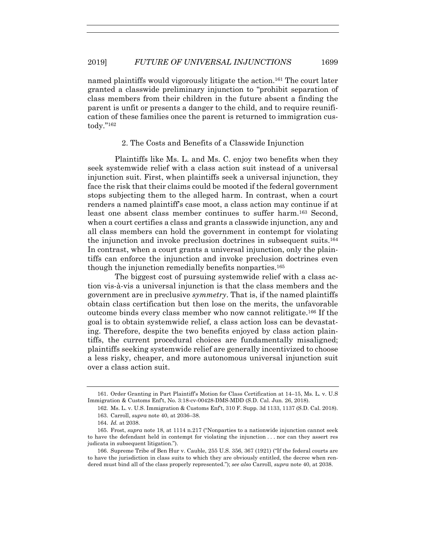named plaintiffs would vigorously litigate the action.161 The court later granted a classwide preliminary injunction to "prohibit separation of class members from their children in the future absent a finding the parent is unfit or presents a danger to the child, and to require reunification of these families once the parent is returned to immigration custody."162

# 2. The Costs and Benefits of a Classwide Injunction

 Plaintiffs like Ms. L. and Ms. C. enjoy two benefits when they seek systemwide relief with a class action suit instead of a universal injunction suit. First, when plaintiffs seek a universal injunction, they face the risk that their claims could be mooted if the federal government stops subjecting them to the alleged harm. In contrast, when a court renders a named plaintiff's case moot, a class action may continue if at least one absent class member continues to suffer harm.163 Second, when a court certifies a class and grants a classwide injunction, any and all class members can hold the government in contempt for violating the injunction and invoke preclusion doctrines in subsequent suits.164 In contrast, when a court grants a universal injunction, only the plaintiffs can enforce the injunction and invoke preclusion doctrines even though the injunction remedially benefits nonparties.165

 The biggest cost of pursuing systemwide relief with a class action vis-à-vis a universal injunction is that the class members and the government are in preclusive *symmetry*. That is, if the named plaintiffs obtain class certification but then lose on the merits, the unfavorable outcome binds every class member who now cannot relitigate.166 If the goal is to obtain systemwide relief, a class action loss can be devastating. Therefore, despite the two benefits enjoyed by class action plaintiffs, the current procedural choices are fundamentally misaligned; plaintiffs seeking systemwide relief are generally incentivized to choose a less risky, cheaper, and more autonomous universal injunction suit over a class action suit.

 <sup>161.</sup> Order Granting in Part Plaintiff's Motion for Class Certification at 14–15, Ms. L. v. U.S Immigration & Customs Enf't, No. 3:18-cv-00428-DMS-MDD (S.D. Cal. Jun. 26, 2018).

<sup>162</sup>*.* Ms. L. v. U.S. Immigration & Customs Enf't, 310 F. Supp. 3d 1133, 1137 (S.D. Cal. 2018).

 <sup>163.</sup> Carroll, *supra* note 40, at 2036–38.

 <sup>164.</sup> *Id.* at 2038.

 <sup>165.</sup> Frost, *supra* note 18, at 1114 n.217 ("Nonparties to a nationwide injunction cannot seek to have the defendant held in contempt for violating the injunction . . . nor can they assert res judicata in subsequent litigation.").

 <sup>166.</sup> Supreme Tribe of Ben Hur v. Cauble, 255 U.S. 356, 367 (1921) ("If the federal courts are to have the jurisdiction in class suits to which they are obviously entitled, the decree when rendered must bind all of the class properly represented."); *see also* Carroll, *supra* note 40, at 2038.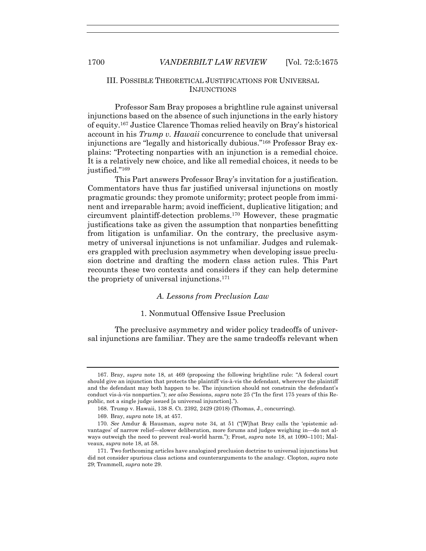# III. POSSIBLE THEORETICAL JUSTIFICATIONS FOR UNIVERSAL INJUNCTIONS

 Professor Sam Bray proposes a brightline rule against universal injunctions based on the absence of such injunctions in the early history of equity.167 Justice Clarence Thomas relied heavily on Bray's historical account in his *Trump v. Hawaii* concurrence to conclude that universal injunctions are "legally and historically dubious."168 Professor Bray explains: "Protecting nonparties with an injunction is a remedial choice. It is a relatively new choice, and like all remedial choices, it needs to be justified."<sup>169</sup>

 This Part answers Professor Bray's invitation for a justification. Commentators have thus far justified universal injunctions on mostly pragmatic grounds: they promote uniformity; protect people from imminent and irreparable harm; avoid inefficient, duplicative litigation; and circumvent plaintiff-detection problems.170 However, these pragmatic justifications take as given the assumption that nonparties benefitting from litigation is unfamiliar. On the contrary, the preclusive asymmetry of universal injunctions is not unfamiliar. Judges and rulemakers grappled with preclusion asymmetry when developing issue preclusion doctrine and drafting the modern class action rules. This Part recounts these two contexts and considers if they can help determine the propriety of universal injunctions.171

# *A. Lessons from Preclusion Law*

# 1. Nonmutual Offensive Issue Preclusion

 The preclusive asymmetry and wider policy tradeoffs of universal injunctions are familiar. They are the same tradeoffs relevant when

 <sup>167.</sup> Bray, *supra* note 18, at 469 (proposing the following brightline rule: "A federal court should give an injunction that protects the plaintiff vis-à-vis the defendant, wherever the plaintiff and the defendant may both happen to be. The injunction should not constrain the defendant's conduct vis-à-vis nonparties."); *see also* Sessions, *supra* note 25 ("In the first 175 years of this Republic, not a single judge issued [a universal injunction].").

 <sup>168.</sup> Trump v. Hawaii, 138 S. Ct. 2392, 2429 (2018) (Thomas, J., concurring).

 <sup>169.</sup> Bray, *supra* note 18, at 457.

<sup>170</sup>*. See* Amdur & Hausman, *supra* note 34, at 51 ("[W]hat Bray calls the 'epistemic advantages' of narrow relief—slower deliberation, more forums and judges weighing in—do not always outweigh the need to prevent real-world harm."); Frost, *supra* note 18, at 1090–1101; Malveaux, *supra* note 18, at 58.

 <sup>171.</sup> Two forthcoming articles have analogized preclusion doctrine to universal injunctions but did not consider spurious class actions and counterarguments to the analogy. Clopton, *supra* note 29; Trammell, *supra* note 29.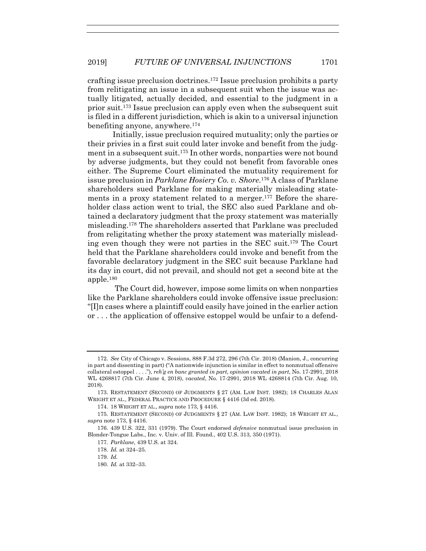crafting issue preclusion doctrines.172 Issue preclusion prohibits a party from relitigating an issue in a subsequent suit when the issue was actually litigated, actually decided, and essential to the judgment in a prior suit.173 Issue preclusion can apply even when the subsequent suit is filed in a different jurisdiction, which is akin to a universal injunction benefiting anyone, anywhere.174

Initially, issue preclusion required mutuality; only the parties or their privies in a first suit could later invoke and benefit from the judgment in a subsequent suit.175 In other words, nonparties were not bound by adverse judgments, but they could not benefit from favorable ones either. The Supreme Court eliminated the mutuality requirement for issue preclusion in *Parklane Hosiery Co. v. Shore*.176 A class of Parklane shareholders sued Parklane for making materially misleading statements in a proxy statement related to a merger.<sup>177</sup> Before the shareholder class action went to trial, the SEC also sued Parklane and obtained a declaratory judgment that the proxy statement was materially misleading.178 The shareholders asserted that Parklane was precluded from religitating whether the proxy statement was materially misleading even though they were not parties in the SEC suit.179 The Court held that the Parklane shareholders could invoke and benefit from the favorable declaratory judgment in the SEC suit because Parklane had its day in court, did not prevail, and should not get a second bite at the apple.180

 The Court did, however, impose some limits on when nonparties like the Parklane shareholders could invoke offensive issue preclusion: "[I]n cases where a plaintiff could easily have joined in the earlier action or . . . the application of offensive estoppel would be unfair to a defend-

<sup>172</sup>*. See* City of Chicago v. Sessions, 888 F.3d 272, 296 (7th Cir. 2018) (Manion, J., concurring in part and dissenting in part) ("A nationwide injunction is similar in effect to nonmutual offensive collateral estoppel . . . ."), *reh'g en banc granted in part, opinion vacated in part*, No. 17-2991, 2018 WL 4268817 (7th Cir. June 4, 2018), *vacated*, No. 17-2991, 2018 WL 4268814 (7th Cir. Aug. 10, 2018).

 <sup>173.</sup> RESTATEMENT (SECOND) OF JUDGMENTS § 27 (AM. LAW INST. 1982); 18 CHARLES ALAN WRIGHT ET AL., FEDERAL PRACTICE AND PROCEDURE § 4416 (3d ed. 2018).

 <sup>174. 18</sup> WRIGHT ET AL., *supra* note 173, § 4416.

<sup>175</sup>*.* RESTATEMENT (SECOND) OF JUDGMENTS § 27 (AM. LAW INST. 1982); 18 WRIGHT ET AL., *supra* note 173, § 4416.

 <sup>176. 439</sup> U.S. 322, 331 (1979). The Court endorsed *defensive* nonmutual issue preclusion in Blonder-Tongue Labs., Inc. v. Univ. of Ill. Found., 402 U.S. 313, 350 (1971).

<sup>177</sup>*. Parklane*, 439 U.S. at 324.

<sup>178</sup>*. Id.* at 324–25.

<sup>179</sup>*. Id.*

<sup>180</sup>*. Id.* at 332–33.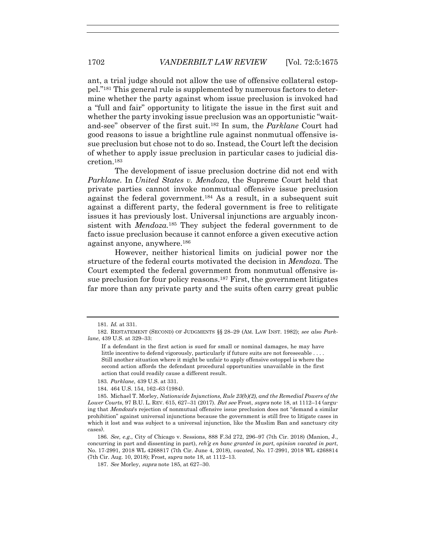ant, a trial judge should not allow the use of offensive collateral estoppel."181 This general rule is supplemented by numerous factors to determine whether the party against whom issue preclusion is invoked had a "full and fair" opportunity to litigate the issue in the first suit and whether the party invoking issue preclusion was an opportunistic "waitand-see" observer of the first suit.182 In sum, the *Parklane* Court had good reasons to issue a brightline rule against nonmutual offensive issue preclusion but chose not to do so. Instead, the Court left the decision of whether to apply issue preclusion in particular cases to judicial discretion.183

 The development of issue preclusion doctrine did not end with *Parklane*. In *United States v. Mendoza*, the Supreme Court held that private parties cannot invoke nonmutual offensive issue preclusion against the federal government.184 As a result, in a subsequent suit against a different party, the federal government is free to relitigate issues it has previously lost. Universal injunctions are arguably inconsistent with *Mendoza.*<sup>185</sup> They subject the federal government to de facto issue preclusion because it cannot enforce a given executive action against anyone, anywhere.186

 However, neither historical limits on judicial power nor the structure of the federal courts motivated the decision in *Mendoza*. The Court exempted the federal government from nonmutual offensive issue preclusion for four policy reasons.187 First, the government litigates far more than any private party and the suits often carry great public

<sup>181</sup>*. Id.* at 331.

 <sup>182.</sup> RESTATEMENT (SECOND) OF JUDGMENTS §§ 28–29 (AM. LAW INST. 1982); *see also Parklane*, 439 U.S. at 329–33:

If a defendant in the first action is sued for small or nominal damages, he may have little incentive to defend vigorously, particularly if future suits are not foreseeable . . . . Still another situation where it might be unfair to apply offensive estoppel is where the second action affords the defendant procedural opportunities unavailable in the first action that could readily cause a different result.

<sup>183</sup>*. Parklane*, 439 U.S. at 331.

<sup>184. 464</sup> U.S. 154, 162–63 (1984).

 <sup>185.</sup> Michael T. Morley, *Nationwide Injunctions, Rule 23(b)(2), and the Remedial Powers of the Lower Courts*, 97 B.U. L. REV. 615, 627–31 (2017). But see Frost, supra note 18, at 1112–14 (arguing that Mendoza's rejection of nonmutual offensive issue preclusion does not "demand a similar prohibition" against universal injunctions because the government is still free to litigate cases in which it lost and was subject to a universal injunction, like the Muslim Ban and sanctuary city cases).

<sup>186</sup>*. See, e.g*., City of Chicago v. Sessions, 888 F.3d 272, 296–97 (7th Cir. 2018) (Manion, J., concurring in part and dissenting in part), *reh'g en banc granted in part, opinion vacated in part*, No. 17-2991, 2018 WL 4268817 (7th Cir. June 4, 2018), *vacated*, No. 17-2991, 2018 WL 4268814 (7th Cir. Aug. 10, 2018); Frost, *supra* note 18, at 1112–13.

 <sup>187.</sup> *See* Morley, supra note 185, at 627–30.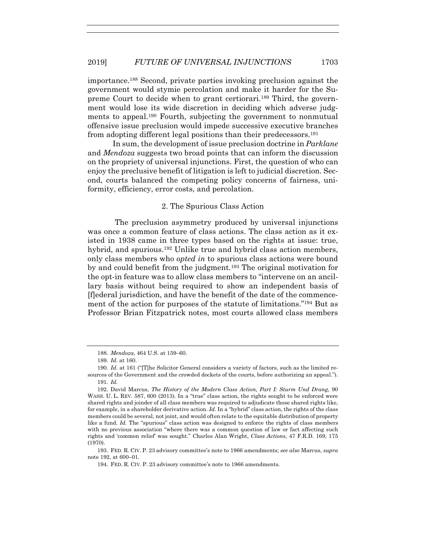importance.188 Second, private parties invoking preclusion against the government would stymie percolation and make it harder for the Supreme Court to decide when to grant certiorari.189 Third, the government would lose its wide discretion in deciding which adverse judgments to appeal.190 Fourth, subjecting the government to nonmutual offensive issue preclusion would impede successive executive branches from adopting different legal positions than their predecessors.191

In sum, the development of issue preclusion doctrine in *Parklane* and *Mendoza* suggests two broad points that can inform the discussion on the propriety of universal injunctions. First, the question of who can enjoy the preclusive benefit of litigation is left to judicial discretion. Second, courts balanced the competing policy concerns of fairness, uniformity, efficiency, error costs, and percolation.

#### 2. The Spurious Class Action

 The preclusion asymmetry produced by universal injunctions was once a common feature of class actions. The class action as it existed in 1938 came in three types based on the rights at issue: true, hybrid, and spurious.<sup>192</sup> Unlike true and hybrid class action members, only class members who *opted in* to spurious class actions were bound by and could benefit from the judgment.193 The original motivation for the opt-in feature was to allow class members to "intervene on an ancillary basis without being required to show an independent basis of [f]ederal jurisdiction, and have the benefit of the date of the commencement of the action for purposes of the statute of limitations."194 But as Professor Brian Fitzpatrick notes, most courts allowed class members

<sup>188</sup>*. Mendoza*, 464 U.S. at 159–60.

<sup>189</sup>*. Id.* at 160.

<sup>190</sup>*. Id.* at 161 ("[T]he Solicitor General considers a variety of factors, such as the limited resources of the Government and the crowded dockets of the courts, before authorizing an appeal."). 191*. Id.*

 <sup>192.</sup> David Marcus, *The History of the Modern Class Action, Part I: Sturm Und Drang*, 90 WASH. U. L. REV. 587, 600 (2013). In a "true" class action, the rights sought to be enforced were shared rights and joinder of all class members was required to adjudicate those shared rights like, for example, in a shareholder derivative action. *Id.* In a "hybrid" class action, the rights of the class members could be several, not joint, and would often relate to the equitable distribution of property like a fund. *Id.* The "spurious" class action was designed to enforce the rights of class members with no previous association "where there was a common question of law or fact affecting such rights and 'common relief' was sought." Charles Alan Wright, *Class Actions*, 47 F.R.D. 169, 175 (1970).

 <sup>193.</sup> FED. R. CIV. P. 23 advisory committee's note to 1966 amendments; *see also* Marcus, *supra* note 192, at 600–01.

 <sup>194.</sup> FED. R. CIV. P. 23 advisory committee's note to 1966 amendments.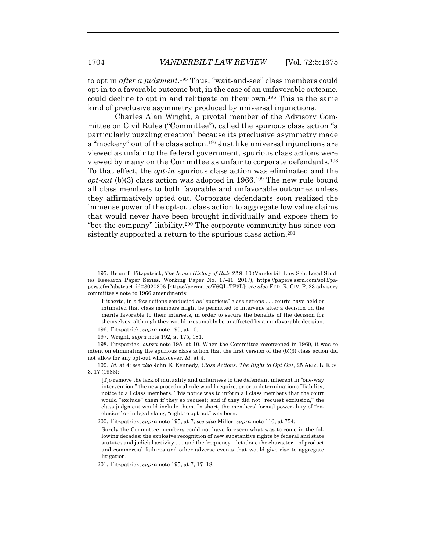to opt in *after a judgment*.195 Thus, "wait-and-see" class members could opt in to a favorable outcome but, in the case of an unfavorable outcome, could decline to opt in and relitigate on their own.196 This is the same kind of preclusive asymmetry produced by universal injunctions.

 Charles Alan Wright, a pivotal member of the Advisory Committee on Civil Rules ("Committee"), called the spurious class action "a particularly puzzling creation" because its preclusive asymmetry made a "mockery" out of the class action.197 Just like universal injunctions are viewed as unfair to the federal government, spurious class actions were viewed by many on the Committee as unfair to corporate defendants.198 To that effect, the *opt-in* spurious class action was eliminated and the *opt-out* (b)(3) class action was adopted in 1966.199 The new rule bound all class members to both favorable and unfavorable outcomes unless they affirmatively opted out. Corporate defendants soon realized the immense power of the opt-out class action to aggregate low value claims that would never have been brought individually and expose them to "bet-the-company" liability.200 The corporate community has since consistently supported a return to the spurious class action.<sup>201</sup>

Hitherto, in a few actions conducted as "spurious" class actions . . . courts have held or intimated that class members might be permitted to intervene after a decision on the merits favorable to their interests, in order to secure the benefits of the decision for themselves, although they would presumably be unaffected by an unfavorable decision.

 198. Fitzpatrick, *supra* note 195, at 10. When the Committee reconvened in 1960, it was so intent on eliminating the spurious class action that the first version of the (b)(3) class action did not allow for any opt-out whatsoever. *Id.* at 4.

199*. Id.* at 4; *see also* John E. Kennedy, *Class Actions: The Right to Opt Out*, 25 ARIZ. L. REV. 3, 17 (1983):

[T]o remove the lack of mutuality and unfairness to the defendant inherent in "one-way intervention," the new procedural rule would require, prior to determination of liability, notice to all class members. This notice was to inform all class members that the court would "exclude" them if they so request; and if they did not "request exclusion," the class judgment would include them. In short, the members' formal power-duty of "exclusion" or in legal slang, "right to opt out" was born.

200. Fitzpatrick, *supra* note 195, at 7; *see also* Miller, *supra* note 110, at 754:

Surely the Committee members could not have foreseen what was to come in the following decades: the explosive recognition of new substantive rights by federal and state statutes and judicial activity . . . and the frequency—let alone the character—of product and commercial failures and other adverse events that would give rise to aggregate litigation.

201. Fitzpatrick, *supra* note 195, at 7, 17–18.

 <sup>195.</sup> Brian T. Fitzpatrick, *The Ironic History of Rule 23* 9–10 (Vanderbilt Law Sch. Legal Studies Research Paper Series, Working Paper No. 17-41, 2017), https://papers.ssrn.com/sol3/papers.cfm?abstract\_id=3020306 [https://perma.cc/V6QL-TP3L]; *see also* FED. R. CIV. P. 23 advisory committee's note to 1966 amendments:

 <sup>196.</sup> Fitzpatrick, *supra* note 195, at 10.

 <sup>197.</sup> Wright, *supra* note 192, at 175, 181.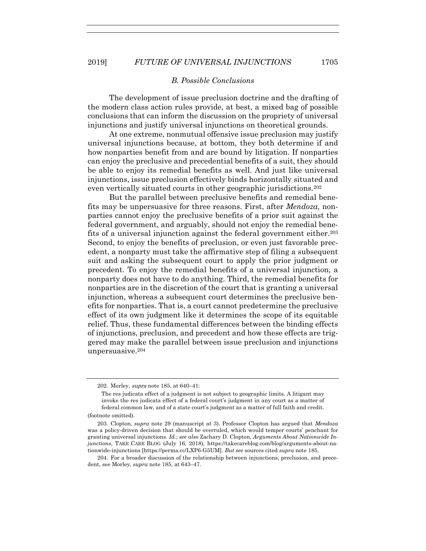# *B. Possible Conclusions*

 The development of issue preclusion doctrine and the drafting of the modern class action rules provide, at best, a mixed bag of possible conclusions that can inform the discussion on the propriety of universal injunctions and justify universal injunctions on theoretical grounds.

 At one extreme, nonmutual offensive issue preclusion may justify universal injunctions because, at bottom, they both determine if and how nonparties benefit from and are bound by litigation. If nonparties can enjoy the preclusive and precedential benefits of a suit, they should be able to enjoy its remedial benefits as well. And just like universal injunctions, issue preclusion effectively binds horizontally situated and even vertically situated courts in other geographic jurisdictions.202

 But the parallel between preclusive benefits and remedial benefits may be unpersuasive for three reasons. First, after *Mendoza,* nonparties cannot enjoy the preclusive benefits of a prior suit against the federal government, and arguably, should not enjoy the remedial benefits of a universal injunction against the federal government either.203 Second, to enjoy the benefits of preclusion, or even just favorable precedent, a nonparty must take the affirmative step of filing a subsequent suit and asking the subsequent court to apply the prior judgment or precedent. To enjoy the remedial benefits of a universal injunction, a nonparty does not have to do anything. Third, the remedial benefits for nonparties are in the discretion of the court that is granting a universal injunction, whereas a subsequent court determines the preclusive benefits for nonparties. That is, a court cannot predetermine the preclusive effect of its own judgment like it determines the scope of its equitable relief. Thus, these fundamental differences between the binding effects of injunctions, preclusion, and precedent and how these effects are triggered may make the parallel between issue preclusion and injunctions unpersuasive.204

 <sup>202.</sup> Morley, supra note 185, at 640–41:

The res judicata effect of a judgment is not subject to geographic limits. A litigant may invoke the res judicata effect of a federal court's judgment in any court as a matter of federal common law, and of a state court's judgment as a matter of full faith and credit.

<sup>(</sup>footnote omitted).

 <sup>203.</sup> Clopton, *supra* note 29 (manuscript at 3). Professor Clopton has argued that *Mendoza* was a policy-driven decision that should be overruled, which would temper courts' penchant for granting universal injunctions. *Id.*; *see also* Zachary D. Clopton, *Arguments About Nationwide Injunctions*, TAKE CARE BLOG (July 16, 2018), https://takecareblog.com/blog/arguments-about-nationwide-injunctions [https://perma.cc/LXP6-G5UM]. *But see* sources cited *supra* note 185.

 <sup>204.</sup> For a broader discussion of the relationship between injunctions, preclusion, and precedent, see Morley, *supra* note 185, at 643–47.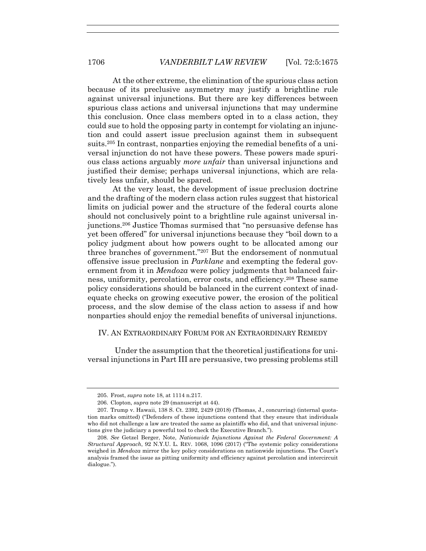At the other extreme, the elimination of the spurious class action because of its preclusive asymmetry may justify a brightline rule against universal injunctions. But there are key differences between spurious class actions and universal injunctions that may undermine this conclusion. Once class members opted in to a class action, they could sue to hold the opposing party in contempt for violating an injunction and could assert issue preclusion against them in subsequent suits.205 In contrast, nonparties enjoying the remedial benefits of a universal injunction do not have these powers. These powers made spurious class actions arguably *more unfair* than universal injunctions and justified their demise; perhaps universal injunctions, which are relatively less unfair, should be spared.

At the very least, the development of issue preclusion doctrine and the drafting of the modern class action rules suggest that historical limits on judicial power and the structure of the federal courts alone should not conclusively point to a brightline rule against universal injunctions.206 Justice Thomas surmised that "no persuasive defense has yet been offered" for universal injunctions because they "boil down to a policy judgment about how powers ought to be allocated among our three branches of government."207 But the endorsement of nonmutual offensive issue preclusion in *Parklane* and exempting the federal government from it in *Mendoza* were policy judgments that balanced fairness, uniformity, percolation, error costs, and efficiency.208 These same policy considerations should be balanced in the current context of inadequate checks on growing executive power, the erosion of the political process, and the slow demise of the class action to assess if and how nonparties should enjoy the remedial benefits of universal injunctions.

# IV. AN EXTRAORDINARY FORUM FOR AN EXTRAORDINARY REMEDY

 Under the assumption that the theoretical justifications for universal injunctions in Part III are persuasive, two pressing problems still

 <sup>205.</sup> Frost, *supra* note 18, at 1114 n.217.

 <sup>206.</sup> Clopton, *supra* note 29 (manuscript at 44).

<sup>207</sup>*.* Trump v. Hawaii, 138 S. Ct. 2392, 2429 (2018) (Thomas, J., concurring) (internal quotation marks omitted) ("Defenders of these injunctions contend that they ensure that individuals who did not challenge a law are treated the same as plaintiffs who did, and that universal injunctions give the judiciary a powerful tool to check the Executive Branch.").

<sup>208</sup>*. See* Getzel Berger, Note, *Nationwide Injunctions Against the Federal Government: A Structural Approach*, 92 N.Y.U. L. REV. 1068, 1096 (2017) ("The systemic policy considerations weighed in *Mendoza* mirror the key policy considerations on nationwide injunctions. The Court's analysis framed the issue as pitting uniformity and efficiency against percolation and intercircuit dialogue.").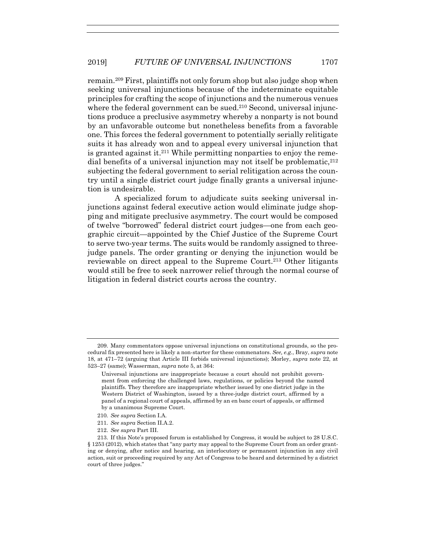remain.209 First, plaintiffs not only forum shop but also judge shop when seeking universal injunctions because of the indeterminate equitable principles for crafting the scope of injunctions and the numerous venues where the federal government can be sued.<sup>210</sup> Second, universal injunctions produce a preclusive asymmetry whereby a nonparty is not bound by an unfavorable outcome but nonetheless benefits from a favorable one. This forces the federal government to potentially serially relitigate suits it has already won and to appeal every universal injunction that is granted against it.<sup>211</sup> While permitting nonparties to enjoy the remedial benefits of a universal injunction may not itself be problematic,212 subjecting the federal government to serial relitigation across the country until a single district court judge finally grants a universal injunction is undesirable.

 A specialized forum to adjudicate suits seeking universal injunctions against federal executive action would eliminate judge shopping and mitigate preclusive asymmetry. The court would be composed of twelve "borrowed" federal district court judges—one from each geographic circuit—appointed by the Chief Justice of the Supreme Court to serve two-year terms. The suits would be randomly assigned to threejudge panels. The order granting or denying the injunction would be reviewable on direct appeal to the Supreme Court.213 Other litigants would still be free to seek narrower relief through the normal course of litigation in federal district courts across the country.

- 210*. See supra* Section I.A.
- 211*. See supra* Section II.A.2.
- 212. *See supra* Part III.

 <sup>209.</sup> Many commentators oppose universal injunctions on constitutional grounds, so the procedural fix presented here is likely a non-starter for these commenators. *See, e.g.*, Bray, *supra* note 18, at 471–72 (arguing that Article III forbids universal injunctions); Morley, *supra* note 22, at 523–27 (same); Wasserman, *supra* note 5, at 364:

Universal injunctions are inappropriate because a court should not prohibit government from enforcing the challenged laws, regulations, or policies beyond the named plaintiffs. They therefore are inappropriate whether issued by one district judge in the Western District of Washington, issued by a three-judge district court, affirmed by a panel of a regional court of appeals, affirmed by an en banc court of appeals, or affirmed by a unanimous Supreme Court.

 <sup>213.</sup> If this Note's proposed forum is established by Congress, it would be subject to 28 U.S.C. § 1253 (2012), which states that "any party may appeal to the Supreme Court from an order granting or denying, after notice and hearing, an interlocutory or permanent injunction in any civil action, suit or proceeding required by any Act of Congress to be heard and determined by a district court of three judges."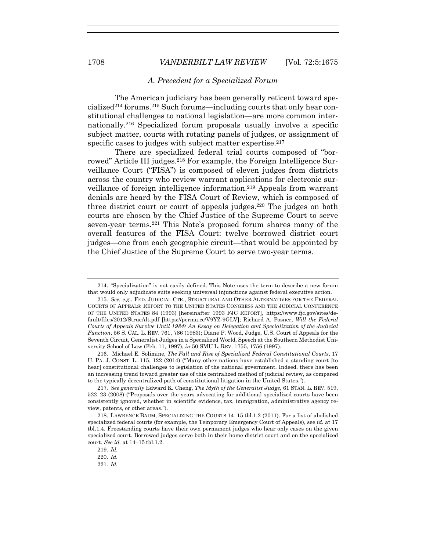#### *A. Precedent for a Specialized Forum*

 The American judiciary has been generally reticent toward specialized214 forums.215 Such forums—including courts that only hear constitutional challenges to national legislation—are more common internationally.216 Specialized forum proposals usually involve a specific subject matter, courts with rotating panels of judges, or assignment of specific cases to judges with subject matter expertise.<sup>217</sup>

 There are specialized federal trial courts composed of "borrowed" Article III judges.<sup>218</sup> For example, the Foreign Intelligence Surveillance Court ("FISA") is composed of eleven judges from districts across the country who review warrant applications for electronic surveillance of foreign intelligence information.219 Appeals from warrant denials are heard by the FISA Court of Review, which is composed of three district court or court of appeals judges.220 The judges on both courts are chosen by the Chief Justice of the Supreme Court to serve seven-year terms.221 This Note's proposed forum shares many of the overall features of the FISA Court: twelve borrowed district court judges—one from each geographic circuit—that would be appointed by the Chief Justice of the Supreme Court to serve two-year terms.

 <sup>214. &</sup>quot;Specialization" is not easily defined. This Note uses the term to describe a new forum that would only adjudicate suits seeking universal injunctions against federal executive action.

<sup>215</sup>*. See, e.g.*, FED. JUDICIAL CTR., STRUCTURAL AND OTHER ALTERNATIVES FOR THE FEDERAL COURTS OF APPEALS: REPORT TO THE UNITED STATES CONGRESS AND THE JUDICIAL CONFERENCE OF THE UNITED STATES 84 (1993) [hereinafter 1993 FJC REPORT], https://www.fjc.gov/sites/default/files/2012/StrucAlt.pdf [https://perma.cc/V9YZ-9GLV]; Richard A. Posner, *Will the Federal Courts of Appeals Survive Until 1984? An Essay on Delegation and Specialization of the Judicial Function*, 56 S. CAL. L. REV. 761, 786 (1983); Diane P. Wood, Judge, U.S. Court of Appeals for the Seventh Circuit, Generalist Judges in a Specialized World, Speech at the Southern Methodist University School of Law (Feb. 11, 1997), *in* 50 SMU L. REV. 1755, 1756 (1997).

<sup>216</sup>*.* Michael E. Solimine, *The Fall and Rise of Specialized Federal Constitutional Courts*, 17 U. PA. J. CONST. L. 115, 122 (2014) ("Many other nations have established a standing court [to hear] constitutional challenges to legislation of the national government. Indeed, there has been an increasing trend toward greater use of this centralized method of judicial review, as compared to the typically decentralized path of constitutional litigation in the United States.").

<sup>217</sup>*. See generally* Edward K. Cheng, *The Myth of the Generalist Judge*, 61 STAN. L. REV. 519, 522–23 (2008) ("Proposals over the years advocating for additional specialized courts have been consistently ignored, whether in scientific evidence, tax, immigration, administrative agency review, patents, or other areas.").

 <sup>218.</sup> LAWRENCE BAUM, SPECIALIZING THE COURTS 14–15 tbl.1.2 (2011). For a list of abolished specialized federal courts (for example, the Temporary Emergency Court of Appeals), see *id.* at 17 tbl.1.4. Freestanding courts have their own permanent judges who hear only cases on the given specialized court. Borrowed judges serve both in their home district court and on the specialized court. *See id.* at 14–15 tbl.1.2.

<sup>219</sup>*. Id.*

 <sup>220.</sup> *Id.*

<sup>221</sup>*. Id.*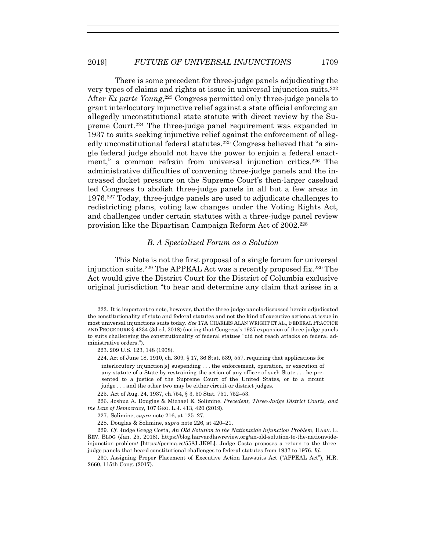# 2019] *FUTURE OF UNIVERSAL INJUNCTIONS* 1709

 There is some precedent for three-judge panels adjudicating the very types of claims and rights at issue in universal injunction suits.222 After *Ex parte Young*,223 Congress permitted only three-judge panels to grant interlocutory injunctive relief against a state official enforcing an allegedly unconstitutional state statute with direct review by the Supreme Court.224 The three-judge panel requirement was expanded in 1937 to suits seeking injunctive relief against the enforcement of allegedly unconstitutional federal statutes.225 Congress believed that "a single federal judge should not have the power to enjoin a federal enactment," a common refrain from universal injunction critics.226 The administrative difficulties of convening three-judge panels and the increased docket pressure on the Supreme Court's then-larger caseload led Congress to abolish three-judge panels in all but a few areas in 1976.227 Today, three-judge panels are used to adjudicate challenges to redistricting plans, voting law changes under the Voting Rights Act, and challenges under certain statutes with a three-judge panel review provision like the Bipartisan Campaign Reform Act of 2002.228

# *B. A Specialized Forum as a Solution*

 This Note is not the first proposal of a single forum for universal injunction suits.229 The APPEAL Act was a recently proposed fix.230 The Act would give the District Court for the District of Columbia exclusive original jurisdiction "to hear and determine any claim that arises in a

 <sup>222.</sup> It is important to note, however, that the three-judge panels discussed herein adjudicated the constitutionality of state and federal statutes and not the kind of executive actions at issue in most universal injunctions suits today. *See* 17A CHARLES ALAN WRIGHT ET AL., FEDERAL PRACTICE AND PROCEDURE § 4234 (3d ed. 2018) (noting that Congress's 1937 expansion of three-judge panels to suits challenging the constitutionality of federal statues "did not reach attacks on federal administrative orders.").

 <sup>223. 209</sup> U.S. 123, 148 (1908).

 <sup>224.</sup> Act of June 18, 1910, ch. 309, § 17, 36 Stat. 539, 557, requiring that applications for interlocutory injunction[s] suspending . . . the enforcement, operation, or execution of any statute of a State by restraining the action of any officer of such State . . . be presented to a justice of the Supreme Court of the United States, or to a circuit judge . . . and the other two may be either circuit or district judges.

 <sup>225.</sup> Act of Aug. 24, 1937, ch.754, § 3, 50 Stat. 751, 752–53.

 <sup>226.</sup> Joshua A. Douglas & Michael E. Solimine, *Precedent, Three-Judge District Courts, and the Law of Democracy*, 107 GEO. L.J. 413, 420 (2019).

 <sup>227.</sup> Solimine, *supra* note 216, at 125–27.

 <sup>228.</sup> Douglas & Solimine, *supra* note 226, at 420–21.

<sup>229</sup>*. Cf.* Judge Gregg Costa, *An Old Solution to the Nationwide Injunction Problem*, HARV. L. REV. BLOG (Jan. 25, 2018), https://blog.harvardlawreview.org/an-old-solution-to-the-nationwideinjunction-problem/ [https://perma.cc/558J-JK9L]. Judge Costa proposes a return to the threejudge panels that heard constitutional challenges to federal statutes from 1937 to 1976. *Id.*

 <sup>230.</sup> Assigning Proper Placement of Executive Action Lawsuits Act ("APPEAL Act"), H.R. 2660, 115th Cong. (2017).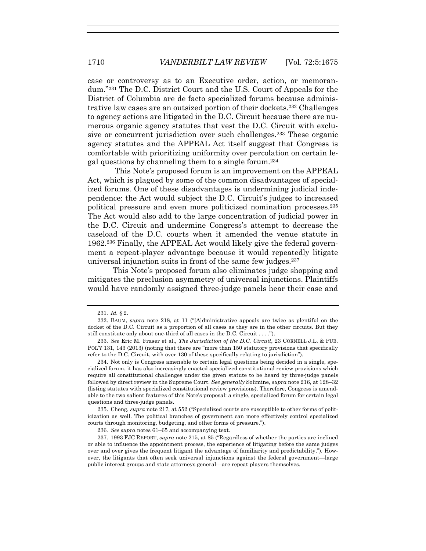case or controversy as to an Executive order, action, or memorandum."231 The D.C. District Court and the U.S. Court of Appeals for the District of Columbia are de facto specialized forums because administrative law cases are an outsized portion of their dockets.232 Challenges to agency actions are litigated in the D.C. Circuit because there are numerous organic agency statutes that vest the D.C. Circuit with exclusive or concurrent jurisdiction over such challenges.233 These organic agency statutes and the APPEAL Act itself suggest that Congress is comfortable with prioritizing uniformity over percolation on certain legal questions by channeling them to a single forum.234

 This Note's proposed forum is an improvement on the APPEAL Act, which is plagued by some of the common disadvantages of specialized forums. One of these disadvantages is undermining judicial independence: the Act would subject the D.C. Circuit's judges to increased political pressure and even more politicized nomination processes.235 The Act would also add to the large concentration of judicial power in the D.C. Circuit and undermine Congress's attempt to decrease the caseload of the D.C. courts when it amended the venue statute in 1962.236 Finally, the APPEAL Act would likely give the federal government a repeat-player advantage because it would repeatedly litigate universal injunction suits in front of the same few judges.<sup>237</sup>

This Note's proposed forum also eliminates judge shopping and mitigates the preclusion asymmetry of universal injunctions. Plaintiffs would have randomly assigned three-judge panels hear their case and

 234. Not only is Congress amenable to certain legal questions being decided in a single, specialized forum, it has also increasingly enacted specialized constitutional review provisions which require all constitutional challenges under the given statute to be heard by three-judge panels followed by direct review in the Supreme Court. *See generally* Solimine, *supra* note 216, at 128–32 (listing statutes with specialized constitutional review provisions). Therefore, Congress is amendable to the two salient features of this Note's proposal: a single, specialized forum for certain legal questions and three-judge panels.

 235. Cheng, *supra* note 217, at 552 ("Specialized courts are susceptible to other forms of politicization as well. The political branches of government can more effectively control specialized courts through monitoring, budgeting, and other forms of pressure.").

236*. See supra* notes 61–65 and accompanying text.

 237. 1993 FJC REPORT, *supra* note 215, at 85 ("Regardless of whether the parties are inclined or able to influence the appointment process, the experience of litigating before the same judges over and over gives the frequent litigant the advantage of familiarity and predictability."). However, the litigants that often seek universal injunctions against the federal government—large public interest groups and state attorneys general—are repeat players themselves.

<sup>231</sup>*. Id.* § 2.

 <sup>232.</sup> BAUM, *supra* note 218, at 11 ("[A]dministrative appeals are twice as plentiful on the docket of the D.C. Circuit as a proportion of all cases as they are in the other circuits. But they still constitute only about one-third of all cases in the D.C. Circuit . . . .").

<sup>233</sup>*. See* Eric M. Fraser et al., *The Jurisdiction of the D.C. Circuit*, 23 CORNELL J.L. & PUB. POL'Y 131, 143 (2013) (noting that there are "more than 150 statutory provisions that specifically refer to the D.C. Circuit, with over 130 of these specifically relating to jurisdiction").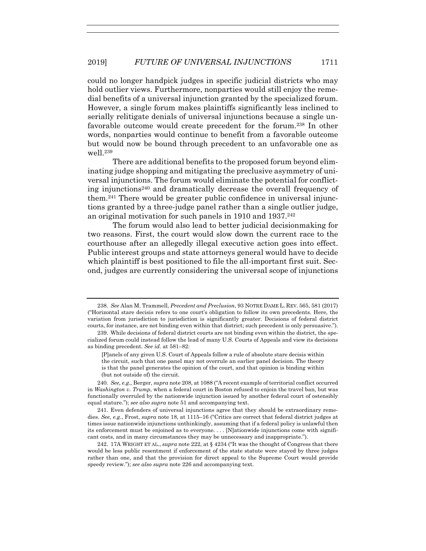could no longer handpick judges in specific judicial districts who may hold outlier views. Furthermore, nonparties would still enjoy the remedial benefits of a universal injunction granted by the specialized forum. However, a single forum makes plaintiffs significantly less inclined to serially relitigate denials of universal injunctions because a single unfavorable outcome would create precedent for the forum.238 In other words, nonparties would continue to benefit from a favorable outcome but would now be bound through precedent to an unfavorable one as well.239

There are additional benefits to the proposed forum beyond eliminating judge shopping and mitigating the preclusive asymmetry of universal injunctions. The forum would eliminate the potential for conflicting injunctions<sup>240</sup> and dramatically decrease the overall frequency of them.241 There would be greater public confidence in universal injunctions granted by a three-judge panel rather than a single outlier judge, an original motivation for such panels in 1910 and 1937.242

The forum would also lead to better judicial decisionmaking for two reasons. First, the court would slow down the current race to the courthouse after an allegedly illegal executive action goes into effect. Public interest groups and state attorneys general would have to decide which plaintiff is best positioned to file the all-important first suit. Second, judges are currently considering the universal scope of injunctions

240*. See, e.g.,* Berger, *supra* note 208, at 1088 ("A recent example of territorial conflict occurred in *Washington v. Trump*, when a federal court in Boston refused to enjoin the travel ban, but was functionally overruled by the nationwide injunction issued by another federal court of ostensibly equal stature."); *see also supra* note 51 and accompanying text.

 241. Even defenders of universal injunctions agree that they should be extraordinary remedies. *See, e.g.*, Frost, *supra* note 18, at 1115–16 ("Critics are correct that federal district judges at times issue nationwide injunctions unthinkingly, assuming that if a federal policy is unlawful then its enforcement must be enjoined as to everyone. . . . [N]ationwide injunctions come with significant costs, and in many circumstances they may be unnecessary and inappropriate.").

 242. 17A WRIGHT ET AL., *supra* note 222, at § 4234 ("It was the thought of Congress that there would be less public resentment if enforcement of the state statute were stayed by three judges rather than one, and that the provision for direct appeal to the Supreme Court would provide speedy review."); *see also supra* note 226 and accompanying text.

 <sup>238.</sup> *See* Alan M. Trammell, *Precedent and Preclusion*, 93 NOTRE DAME L. REV. 565, 581 (2017) ("Horizontal stare decisis refers to one court's obligation to follow its own precedents. Here, the variation from jurisdiction to jurisdiction is significantly greater. Decisions of federal district courts, for instance, are not binding even within that district; such precedent is only persuasive.").

 <sup>239.</sup> While decisions of federal district courts are not binding even within the district, the specialized forum could instead follow the lead of many U.S. Courts of Appeals and view its decisions as binding precedent. *See id.* at 581–82:

<sup>[</sup>P]anels of any given U.S. Court of Appeals follow a rule of absolute stare decisis within the circuit, such that one panel may not overrule an earlier panel decision. The theory is that the panel generates the opinion of the court, and that opinion is binding within (but not outside of) the circuit.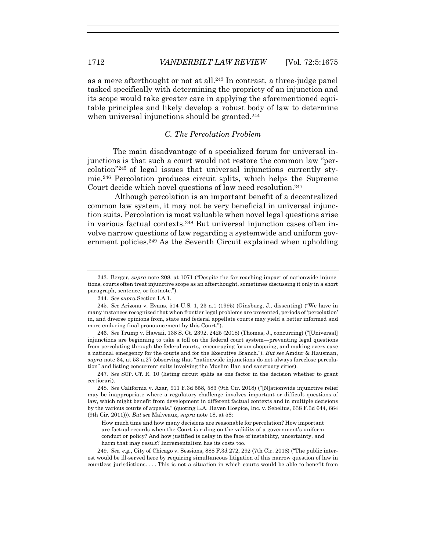as a mere afterthought or not at all.243 In contrast, a three-judge panel tasked specifically with determining the propriety of an injunction and its scope would take greater care in applying the aforementioned equitable principles and likely develop a robust body of law to determine when universal injunctions should be granted.<sup>244</sup>

# *C. The Percolation Problem*

The main disadvantage of a specialized forum for universal injunctions is that such a court would not restore the common law "percolation"245 of legal issues that universal injunctions currently stymie.246 Percolation produces circuit splits, which helps the Supreme Court decide which novel questions of law need resolution.247

 Although percolation is an important benefit of a decentralized common law system, it may not be very beneficial in universal injunction suits. Percolation is most valuable when novel legal questions arise in various factual contexts.248 But universal injunction cases often involve narrow questions of law regarding a systemwide and uniform government policies.<sup>249</sup> As the Seventh Circuit explained when upholding

244*. See supra* Section I.A.1.

246*. See* Trump v. Hawaii, 138 S. Ct. 2392, 2425 (2018) (Thomas, J., concurring) ("[Universal] injunctions are beginning to take a toll on the federal court system—preventing legal questions from percolating through the federal courts, encouraging forum shopping, and making every case a national emergency for the courts and for the Executive Branch."). *But see* Amdur & Hausman, *supra* note 34, at 53 n.27 (observing that "nationwide injunctions do not always foreclose percolation" and listing concurrent suits involving the Muslim Ban and sanctuary cities).

247*. See* SUP. CT. R. 10 (listing circuit splits as one factor in the decision whether to grant certiorari).

248*. See* California v. Azar, 911 F.3d 558, 583 (9th Cir. 2018) ("[N]ationwide injunctive relief may be inappropriate where a regulatory challenge involves important or difficult questions of law, which might benefit from development in different factual contexts and in multiple decisions by the various courts of appeals." (quoting L.A. Haven Hospice, Inc. v. Sebelius, 638 F.3d 644, 664 (9th Cir. 2011))). *But see* Malveaux, *supra* note 18, at 58:

How much time and how many decisions are reasonable for percolation? How important are factual records when the Court is ruling on the validity of a government's uniform conduct or policy? And how justified is delay in the face of instability, uncertainty, and harm that may result? Incrementalism has its costs too.

249*. See, e.g.*, City of Chicago v. Sessions, 888 F.3d 272, 292 (7th Cir. 2018) ("The public interest would be ill-served here by requiring simultaneous litigation of this narrow question of law in countless jurisdictions. . . . This is not a situation in which courts would be able to benefit from

<sup>243</sup>*.* Berger, *supra* note 208, at 1071 ("Despite the far-reaching impact of nationwide injunctions, courts often treat injunctive scope as an afterthought, sometimes discussing it only in a short paragraph, sentence, or footnote.").

<sup>245</sup>*. See* Arizona v. Evans, 514 U.S. 1, 23 n.1 (1995) (Ginsburg, J., dissenting) ("We have in many instances recognized that when frontier legal problems are presented, periods of 'percolation' in, and diverse opinions from, state and federal appellate courts may yield a better informed and more enduring final pronouncement by this Court.").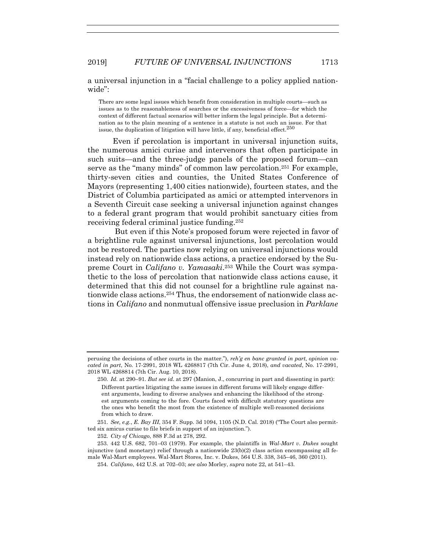a universal injunction in a "facial challenge to a policy applied nationwide":

There are some legal issues which benefit from consideration in multiple courts—such as issues as to the reasonableness of searches or the excessiveness of force—for which the context of different factual scenarios will better inform the legal principle. But a determination as to the plain meaning of a sentence in a statute is not such an issue. For that issue, the duplication of litigation will have little, if any, beneficial effect. $250$ 

Even if percolation is important in universal injunction suits, the numerous amici curiae and intervenors that often participate in such suits—and the three-judge panels of the proposed forum—can serve as the "many minds" of common law percolation.251 For example, thirty-seven cities and counties, the United States Conference of Mayors (representing 1,400 cities nationwide), fourteen states, and the District of Columbia participated as amici or attempted intervenors in a Seventh Circuit case seeking a universal injunction against changes to a federal grant program that would prohibit sanctuary cities from receiving federal criminal justice funding.252

 But even if this Note's proposed forum were rejected in favor of a brightline rule against universal injunctions, lost percolation would not be restored. The parties now relying on universal injunctions would instead rely on nationwide class actions, a practice endorsed by the Supreme Court in *Califano v. Yamasaki*.253 While the Court was sympathetic to the loss of percolation that nationwide class actions cause, it determined that this did not counsel for a brightline rule against nationwide class actions.254 Thus, the endorsement of nationwide class actions in *Califano* and nonmutual offensive issue preclusion in *Parklane*

250*. Id.* at 290–91. *But see id.* at 297 (Manion, J., concurring in part and dissenting in part):

251*. See, e.g.*, *E. Bay III*, 354 F. Supp. 3d 1094, 1105 (N.D. Cal. 2018) ("The Court also permitted six amicus curiae to file briefs in support of an injunction.").

252*. City of Chicago*, 888 F.3d at 278, 292.

perusing the decisions of other courts in the matter."), *reh'g en banc granted in part, opinion vacated in part*, No. 17-2991, 2018 WL 4268817 (7th Cir. June 4, 2018), *and vacated*, No. 17-2991, 2018 WL 4268814 (7th Cir. Aug. 10, 2018).

Different parties litigating the same issues in different forums will likely engage different arguments, leading to diverse analyses and enhancing the likelihood of the strongest arguments coming to the fore. Courts faced with difficult statutory questions are the ones who benefit the most from the existence of multiple well-reasoned decisions from which to draw.

 <sup>253. 442</sup> U.S. 682, 701–03 (1979). For example, the plaintiffs in *Wal-Mart v. Dukes* sought injunctive (and monetary) relief through a nationwide 23(b)(2) class action encompassing all female Wal-Mart employees. Wal-Mart Stores, Inc. v. Dukes, 564 U.S. 338, 345–46, 360 (2011).

<sup>254</sup>*. Califano*, 442 U.S. at 702–03; *see also* Morley, *supra* note 22, at 541–43.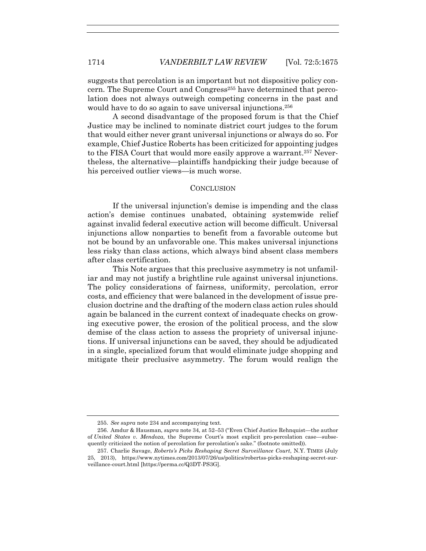suggests that percolation is an important but not dispositive policy concern. The Supreme Court and Congress<sup>255</sup> have determined that percolation does not always outweigh competing concerns in the past and would have to do so again to save universal injunctions.<sup>256</sup>

A second disadvantage of the proposed forum is that the Chief Justice may be inclined to nominate district court judges to the forum that would either never grant universal injunctions or always do so. For example, Chief Justice Roberts has been criticized for appointing judges to the FISA Court that would more easily approve a warrant.257 Nevertheless, the alternative—plaintiffs handpicking their judge because of his perceived outlier views—is much worse.

# **CONCLUSION**

If the universal injunction's demise is impending and the class action's demise continues unabated, obtaining systemwide relief against invalid federal executive action will become difficult. Universal injunctions allow nonparties to benefit from a favorable outcome but not be bound by an unfavorable one. This makes universal injunctions less risky than class actions, which always bind absent class members after class certification.

This Note argues that this preclusive asymmetry is not unfamiliar and may not justify a brightline rule against universal injunctions. The policy considerations of fairness, uniformity, percolation, error costs, and efficiency that were balanced in the development of issue preclusion doctrine and the drafting of the modern class action rules should again be balanced in the current context of inadequate checks on growing executive power, the erosion of the political process, and the slow demise of the class action to assess the propriety of universal injunctions. If universal injunctions can be saved, they should be adjudicated in a single, specialized forum that would eliminate judge shopping and mitigate their preclusive asymmetry. The forum would realign the

 <sup>255.</sup> *See supra* note 234 and accompanying text.

 <sup>256.</sup> Amdur & Hausman, *supra* note 34, at 52–53 ("Even Chief Justice Rehnquist—the author of *United States v. Mendoza*, the Supreme Court's most explicit pro-percolation case—subsequently criticized the notion of percolation for percolation's sake." (footnote omitted)).

 <sup>257.</sup> Charlie Savage, *Roberts's Picks Reshaping Secret Surveillance Court*, N.Y. TIMES (July 25, 2013), https://www.nytimes.com/2013/07/26/us/politics/robertss-picks-reshaping-secret-surveillance-court.html [https://perma.cc/Q3DT-PS3G].